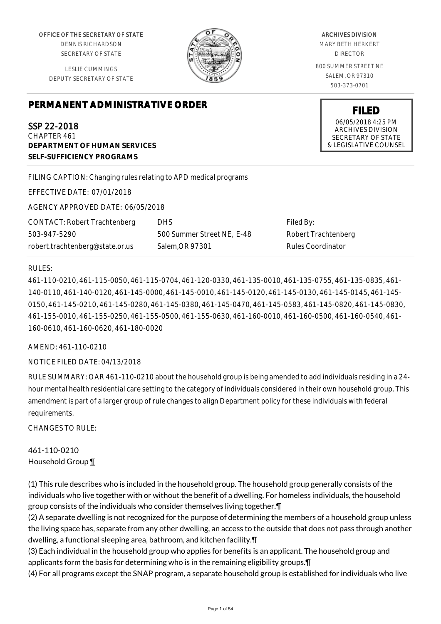OFFICE OF THE SECRETARY OF STATE

DENNIS RICHARDSON SECRETARY OF STATE

LESLIE CUMMINGS DEPUTY SECRETARY OF STATE

# **PERMANENT ADMINISTRATIVE ORDER**

SSP 22-2018 CHAPTER 461 **DEPARTMENT OF HUMAN SERVICES SELF-SUFFICIENCY PROGRAMS**

FILING CAPTION: Changing rules relating to APD medical programs

EFFECTIVE DATE: 07/01/2018

AGENCY APPROVED DATE: 06/05/2018

CONTACT: Robert Trachtenberg 503-947-5290 robert.trachtenberg@state.or.us

DHS 500 Summer Street NE, E-48 Salem,OR 97301

Filed By: Robert Trachtenberg Rules Coordinator

#### RULES:

461-110-0210, 461-115-0050, 461-115-0704, 461-120-0330, 461-135-0010, 461-135-0755, 461-135-0835, 461- 140-0110, 461-140-0120, 461-145-0000, 461-145-0010, 461-145-0120, 461-145-0130, 461-145-0145, 461-145- 0150, 461-145-0210, 461-145-0280, 461-145-0380, 461-145-0470, 461-145-0583, 461-145-0820, 461-145-0830, 461-155-0010, 461-155-0250, 461-155-0500, 461-155-0630, 461-160-0010, 461-160-0500, 461-160-0540, 461- 160-0610, 461-160-0620, 461-180-0020

AMEND: 461-110-0210

NOTICE FILED DATE: 04/13/2018

RULE SUMMARY: OAR 461-110-0210 about the household group is being amended to add individuals residing in a 24 hour mental health residential care setting to the category of individuals considered in their own household group. This amendment is part of a larger group of rule changes to align Department policy for these individuals with federal requirements.

CHANGES TO RULE:

461-110-0210 Household Group ¶

(1) This rule describes who is included in the household group. The household group generally consists of the individuals who live together with or without the benefit of a dwelling. For homeless individuals, the household group consists of the individuals who consider themselves living together.¶

(2) A separate dwelling is not recognized for the purpose of determining the members of a household group unless the living space has, separate from any other dwelling, an access to the outside that does not pass through another dwelling, a functional sleeping area, bathroom, and kitchen facility.¶

(3) Each individual in the household group who applies for benefits is an applicant. The household group and applicants form the basis for determining who is in the remaining eligibility groups.¶

(4) For all programs except the SNAP program, a separate household group is established for individuals who live



MARY BETH HERKERT DIRECTOR 800 SUMMER STREET NE SALEM, OR 97310 503-373-0701

> **FILED** 06/05/2018 4:25 PM ARCHIVES DIVISION SECRETARY OF STATE & LEGISLATIVE COUNSEL

#### ARCHIVES DIVISION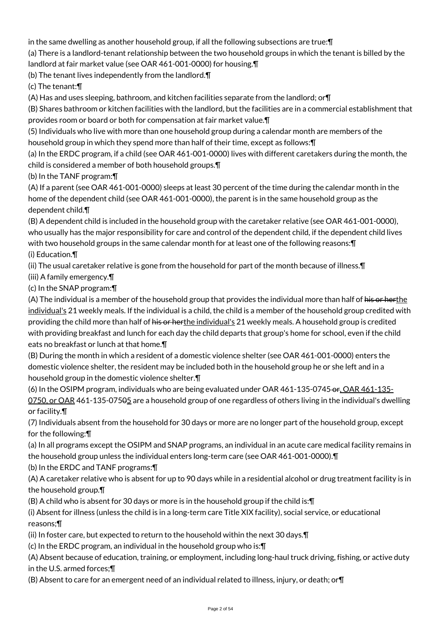in the same dwelling as another household group, if all the following subsections are true:¶

(a) There is a landlord-tenant relationship between the two household groups in which the tenant is billed by the landlord at fair market value (see OAR 461-001-0000) for housing.¶

(b) The tenant lives independently from the landlord.¶

(c) The tenant:¶

(A) Has and uses sleeping, bathroom, and kitchen facilities separate from the landlord; or¶

(B) Shares bathroom or kitchen facilities with the landlord, but the facilities are in a commercial establishment that provides room or board or both for compensation at fair market value.¶

(5) Individuals who live with more than one household group during a calendar month are members of the household group in which they spend more than half of their time, except as follows:¶

(a) In the ERDC program, if a child (see OAR 461-001-0000) lives with different caretakers during the month, the child is considered a member of both household groups.¶

(b) In the TANF program:¶

(A) If a parent (see OAR 461-001-0000) sleeps at least 30 percent of the time during the calendar month in the home of the dependent child (see OAR 461-001-0000), the parent is in the same household group as the dependent child.¶

(B) A dependent child is included in the household group with the caretaker relative (see OAR 461-001-0000), who usually has the major responsibility for care and control of the dependent child, if the dependent child lives with two household groups in the same calendar month for at least one of the following reasons:¶ (i) Education.¶

(ii) The usual caretaker relative is gone from the household for part of the month because of illness.¶

(iii) A family emergency.¶

(c) In the SNAP program:¶

(A) The individual is a member of the household group that provides the individual more than half of his or herthe individual's 21 weekly meals. If the individual is a child, the child is a member of the household group credited with providing the child more than half of his or herthe individual's 21 weekly meals. A household group is credited with providing breakfast and lunch for each day the child departs that group's home for school, even if the child eats no breakfast or lunch at that home.¶

(B) During the month in which a resident of a domestic violence shelter (see OAR 461-001-0000) enters the domestic violence shelter, the resident may be included both in the household group he or she left and in a household group in the domestic violence shelter.¶

(6) In the OSIPM program, individuals who are being evaluated under OAR 461-135-0745 or, OAR 461-135-0750, or OAR 461-135-07505 are a household group of one regardless of others living in the individual's dwelling or facility.¶

(7) Individuals absent from the household for 30 days or more are no longer part of the household group, except for the following:¶

(a) In all programs except the OSIPM and SNAP programs, an individual in an acute care medical facility remains in the household group unless the individual enters long-term care (see OAR 461-001-0000).¶

(b) In the ERDC and TANF programs:¶

(A) A caretaker relative who is absent for up to 90 days while in a residential alcohol or drug treatment facility is in the household group.¶

(B) A child who is absent for 30 days or more is in the household group if the child is:¶

(i) Absent for illness (unless the child is in a long-term care Title XIX facility), social service, or educational reasons;¶

(ii) In foster care, but expected to return to the household within the next 30 days.¶

(c) In the ERDC program, an individual in the household group who is:¶

(A) Absent because of education, training, or employment, including long-haul truck driving, fishing, or active duty in the U.S. armed forces;¶

(B) Absent to care for an emergent need of an individual related to illness, injury, or death; or¶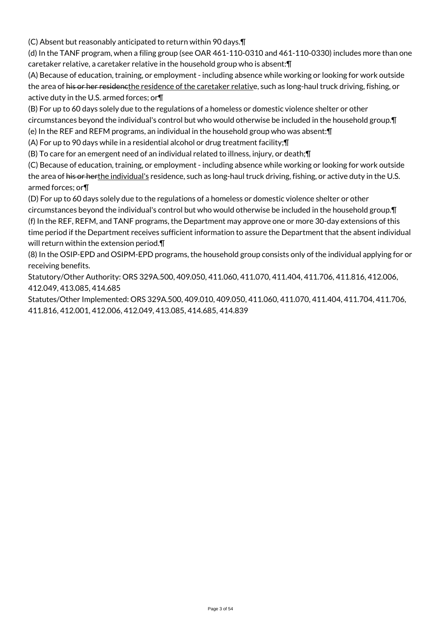(C) Absent but reasonably anticipated to return within 90 days.¶

(d) In the TANF program, when a filing group (see OAR 461-110-0310 and 461-110-0330) includes more than one caretaker relative, a caretaker relative in the household group who is absent:¶

(A) Because of education, training, or employment - including absence while working or looking for work outside the area of his or her residencthe residence of the caretaker relative, such as long-haul truck driving, fishing, or active duty in the U.S. armed forces; or¶

(B) For up to 60 days solely due to the regulations of a homeless or domestic violence shelter or other circumstances beyond the individual's control but who would otherwise be included in the household group.¶

(e) In the REF and REFM programs, an individual in the household group who was absent:¶

(A) For up to 90 days while in a residential alcohol or drug treatment facility;¶

(B) To care for an emergent need of an individual related to illness, injury, or death;¶

(C) Because of education, training, or employment - including absence while working or looking for work outside the area of his or herthe individual's residence, such as long-haul truck driving, fishing, or active duty in the U.S. armed forces; or¶

(D) For up to 60 days solely due to the regulations of a homeless or domestic violence shelter or other circumstances beyond the individual's control but who would otherwise be included in the household group.¶ (f) In the REF, REFM, and TANF programs, the Department may approve one or more 30-day extensions of this time period if the Department receives sufficient information to assure the Department that the absent individual will return within the extension period.¶

(8) In the OSIP-EPD and OSIPM-EPD programs, the household group consists only of the individual applying for or receiving benefits.

Statutory/Other Authority: ORS 329A.500, 409.050, 411.060, 411.070, 411.404, 411.706, 411.816, 412.006, 412.049, 413.085, 414.685

Statutes/Other Implemented: ORS 329A.500, 409.010, 409.050, 411.060, 411.070, 411.404, 411.704, 411.706, 411.816, 412.001, 412.006, 412.049, 413.085, 414.685, 414.839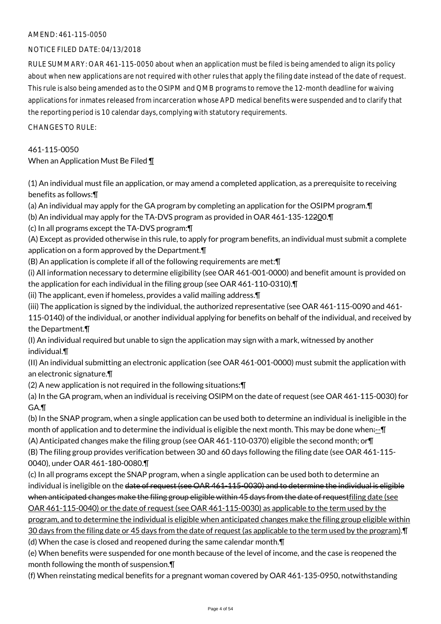## NOTICE FILED DATE: 04/13/2018

RULE SUMMARY: OAR 461-115-0050 about when an application must be filed is being amended to align its policy about when new applications are not required with other rules that apply the filing date instead of the date of request. This rule is also being amended as to the OSIPM and QMB programs to remove the 12-month deadline for waiving applications for inmates released from incarceration whose APD medical benefits were suspended and to clarify that the reporting period is 10 calendar days, complying with statutory requirements.

 $CHANGFS TO RIIF$ 

## 461-115-0050

## When an Application Must Be Filed ¶

(1) An individual must file an application, or may amend a completed application, as a prerequisite to receiving benefits as follows:¶

(a) An individual may apply for the GA program by completing an application for the OSIPM program.¶

(b) An individual may apply for the TA-DVS program as provided in OAR 461-135-12200.¶

(c) In all programs except the TA-DVS program:¶

(A) Except as provided otherwise in this rule, to apply for program benefits, an individual must submit a complete application on a form approved by the Department.¶

(B) An application is complete if all of the following requirements are met:¶

(i) All information necessary to determine eligibility (see OAR 461-001-0000) and benefit amount is provided on the application for each individual in the filing group (see OAR 461-110-0310).¶

(ii) The applicant, even if homeless, provides a valid mailing address.¶

(iii) The application is signed by the individual, the authorized representative (see OAR 461-115-0090 and 461-

115-0140) of the individual, or another individual applying for benefits on behalf of the individual, and received by the Department.¶

(I) An individual required but unable to sign the application may sign with a mark, witnessed by another individual.¶

(II) An individual submitting an electronic application (see OAR 461-001-0000) must submit the application with an electronic signature.¶

(2) A new application is not required in the following situations:¶

(a) In the GA program, when an individual is receiving OSIPM on the date of request (see OAR 461-115-0030) for GA.¶

(b) In the SNAP program, when a single application can be used both to determine an individual is ineligible in the month of application and to determine the individual is eligible the next month. This may be done when:--- The (A) Anticipated changes make the filing group (see OAR 461-110-0370) eligible the second month; or¶

(B) The filing group provides verification between 30 and 60 days following the filing date (see OAR 461-115- 0040), under OAR 461-180-0080.¶

(c) In all programs except the SNAP program, when a single application can be used both to determine an individual is ineligible on the date of request (see OAR 461-115-0030) and to determine the individual is eligible when anticipated changes make the filing group eligible within 45 days from the date of requestfiling date (see OAR 461-115-0040) or the date of request (see OAR 461-115-0030) as applicable to the term used by the program, and to determine the individual is eligible when anticipated changes make the filing group eligible within 30 days from the filing date or 45 days from the date of request (as applicable to the term used by the program).¶ (d) When the case is closed and reopened during the same calendar month.¶

(e) When benefits were suspended for one month because of the level of income, and the case is reopened the month following the month of suspension.¶

(f) When reinstating medical benefits for a pregnant woman covered by OAR 461-135-0950, notwithstanding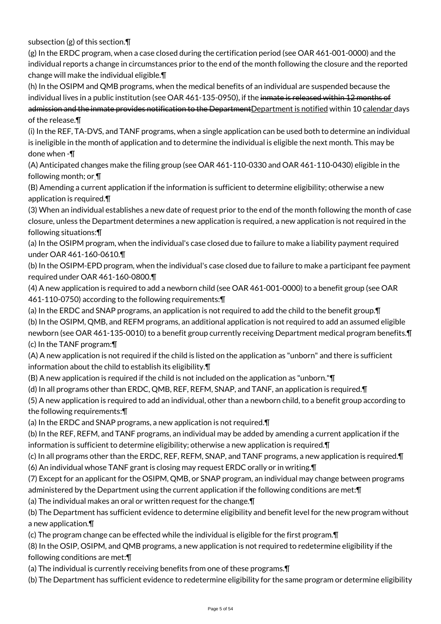subsection (g) of this section.¶

(g) In the ERDC program, when a case closed during the certification period (see OAR 461-001-0000) and the individual reports a change in circumstances prior to the end of the month following the closure and the reported change will make the individual eligible.¶

(h) In the OSIPM and QMB programs, when the medical benefits of an individual are suspended because the individual lives in a public institution (see OAR 461-135-0950), if the inmate is released within 12 months of admission and the inmate provides notification to the Department Department is notified within 10 calendar days of the release.¶

(i) In the REF, TA-DVS, and TANF programs, when a single application can be used both to determine an individual is ineligible in the month of application and to determine the individual is eligible the next month. This may be done when -¶

(A) Anticipated changes make the filing group (see OAR 461-110-0330 and OAR 461-110-0430) eligible in the following month; or ¶

(B) Amending a current application if the information is sufficient to determine eligibility; otherwise a new application is required.¶

(3) When an individual establishes a new date of request prior to the end of the month following the month of case closure, unless the Department determines a new application is required, a new application is not required in the following situations:¶

(a) In the OSIPM program, when the individual's case closed due to failure to make a liability payment required under OAR 461-160-0610.¶

(b) In the OSIPM-EPD program, when the individual's case closed due to failure to make a participant fee payment required under OAR 461-160-0800.¶

(4) A new application is required to add a newborn child (see OAR 461-001-0000) to a benefit group (see OAR 461-110-0750) according to the following requirements:¶

(a) In the ERDC and SNAP programs, an application is not required to add the child to the benefit group.¶ (b) In the OSIPM, QMB, and REFM programs, an additional application is not required to add an assumed eligible newborn (see OAR 461-135-0010) to a benefit group currently receiving Department medical program benefits.¶ (c) In the TANF program:¶

(A) A new application is not required if the child is listed on the application as "unborn" and there is sufficient information about the child to establish its eligibility.¶

(B) A new application is required if the child is not included on the application as "unborn."¶

(d) In all programs other than ERDC, QMB, REF, REFM, SNAP, and TANF, an application is required.¶

(5) A new application is required to add an individual, other than a newborn child, to a benefit group according to the following requirements:¶

(a) In the ERDC and SNAP programs, a new application is not required.¶

(b) In the REF, REFM, and TANF programs, an individual may be added by amending a current application if the information is sufficient to determine eligibility; otherwise a new application is required.¶

(c) In all programs other than the ERDC, REF, REFM, SNAP, and TANF programs, a new application is required.¶ (6) An individual whose TANF grant is closing may request ERDC orally or in writing.¶

(7) Except for an applicant for the OSIPM, QMB, or SNAP program, an individual may change between programs

administered by the Department using the current application if the following conditions are met:¶

(a) The individual makes an oral or written request for the change.¶

(b) The Department has sufficient evidence to determine eligibility and benefit level for the new program without a new application.¶

(c) The program change can be effected while the individual is eligible for the first program.¶

(8) In the OSIP, OSIPM, and QMB programs, a new application is not required to redetermine eligibility if the following conditions are met:¶

(a) The individual is currently receiving benefits from one of these programs.¶

(b) The Department has sufficient evidence to redetermine eligibility for the same program or determine eligibility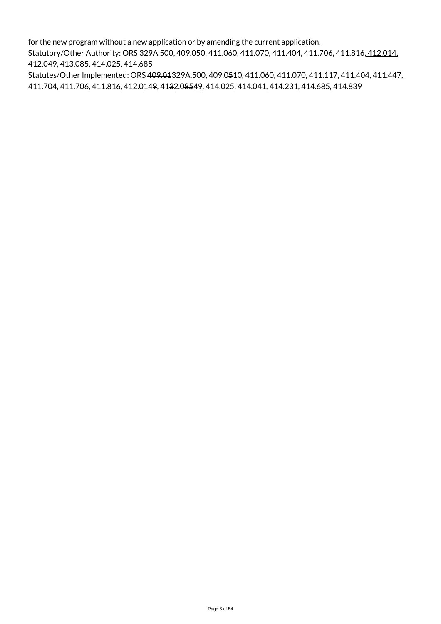for the new program without a new application or by amending the current application.

Statutory/Other Authority: ORS 329A.500, 409.050, 411.060, 411.070, 411.404, 411.706, 411.816, 412.014, 412.049, 413.085, 414.025, 414.685

Statutes/Other Implemented: ORS 409.01329A.500, 409.0510, 411.060, 411.070, 411.117, 411.404, 411.447. 411.704, 411.706, 411.816, 412.0149, 4132.08549, 414.025, 414.041, 414.231, 414.685, 414.839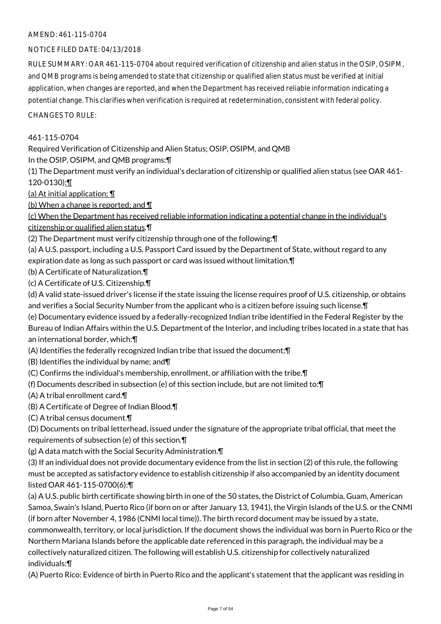## NOTICE FILED DATE: 04/13/2018

RULE SUMMARY: OAR 461-115-0704 about required verification of citizenship and alien status in the OSIP, OSIPM, and QMB programs is being amended to state that citizenship or qualified alien status must be verified at initial application, when changes are reported, and when the Department has received reliable information indicating a potential change. This clarifies when verification is required at redetermination, consistent with federal policy.

CHANGES TO RULE:

## 461-115-0704

Required Verification of Citizenship and Alien Status; OSIP, OSIPM, and QMB

In the OSIP, OSIPM, and QMB programs:¶

(1) The Department must verify an individual's declaration of citizenship or qualified alien status (see OAR 461- 120-0130):¶

(a) At initial application; ¶

(b) When a change is reported; and ¶

(c) When the Department has received reliable information indicating a potential change in the individual's citizenship or qualified alien status.¶

(2) The Department must verify citizenship through one of the following:¶

(a) A U.S. passport, including a U.S. Passport Card issued by the Department of State, without regard to any expiration date as long as such passport or card was issued without limitation.¶

(b) A Certificate of Naturalization.¶

(c) A Certificate of U.S. Citizenship.¶

(d) A valid state-issued driver's license if the state issuing the license requires proof of U.S. citizenship, or obtains and verifies a Social Security Number from the applicant who is a citizen before issuing such license.¶

(e) Documentary evidence issued by a federally-recognized Indian tribe identified in the Federal Register by the Bureau of Indian Affairs within the U.S. Department of the Interior, and including tribes located in a state that has an international border, which:¶

(A) Identifies the federally recognized Indian tribe that issued the document;¶

(B) Identifies the individual by name; and¶

(C) Confirms the individual's membership, enrollment, or affiliation with the tribe.¶

(f) Documents described in subsection (e) of this section include, but are not limited to:¶

(A) A tribal enrollment card.¶

(B) A Certificate of Degree of Indian Blood.¶

(C) A tribal census document.¶

(D) Documents on tribal letterhead, issued under the signature of the appropriate tribal official, that meet the requirements of subsection (e) of this section.¶

(g) A data match with the Social Security Administration.¶

(3) If an individual does not provide documentary evidence from the list in section (2) of this rule, the following must be accepted as satisfactory evidence to establish citizenship if also accompanied by an identity document listed OAR 461-115-0700(6):¶

(a) A U.S. public birth certificate showing birth in one of the 50 states, the District of Columbia, Guam, American Samoa, Swain's Island, Puerto Rico (if born on or after January 13, 1941), the Virgin Islands of the U.S. or the CNMI (if born after November 4, 1986 (CNMI local time)). The birth record document may be issued by a state, commonwealth, territory, or local jurisdiction. If the document shows the individual was born in Puerto Rico or the Northern Mariana Islands before the applicable date referenced in this paragraph, the individual may be a collectively naturalized citizen. The following will establish U.S. citizenship for collectively naturalized individuals:¶

(A) Puerto Rico: Evidence of birth in Puerto Rico and the applicant's statement that the applicant was residing in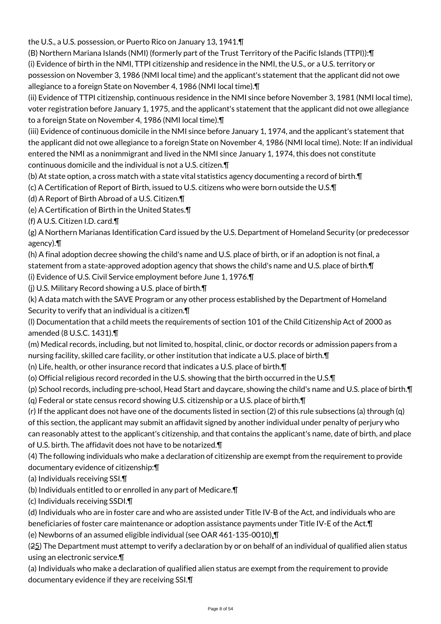the U.S., a U.S. possession, or Puerto Rico on January 13, 1941.¶

(B) Northern Mariana Islands (NMI) (formerly part of the Trust Territory of the Pacific Islands (TTPI)):¶ (i) Evidence of birth in the NMI, TTPI citizenship and residence in the NMI, the U.S., or a U.S. territory or possession on November 3, 1986 (NMI local time) and the applicant's statement that the applicant did not owe allegiance to a foreign State on November 4, 1986 (NMI local time).¶

(ii) Evidence of TTPI citizenship, continuous residence in the NMI since before November 3, 1981 (NMI local time), voter registration before January 1, 1975, and the applicant's statement that the applicant did not owe allegiance to a foreign State on November 4, 1986 (NMI local time).¶

(iii) Evidence of continuous domicile in the NMI since before January 1, 1974, and the applicant's statement that the applicant did not owe allegiance to a foreign State on November 4, 1986 (NMI local time). Note: If an individual entered the NMI as a nonimmigrant and lived in the NMI since January 1, 1974, this does not constitute continuous domicile and the individual is not a U.S. citizen.¶

(b) At state option, a cross match with a state vital statistics agency documenting a record of birth.¶

(c) A Certification of Report of Birth, issued to U.S. citizens who were born outside the U.S.¶

(d) A Report of Birth Abroad of a U.S. Citizen.¶

(e) A Certification of Birth in the United States.¶

(f) A U.S. Citizen I.D. card.¶

(g) A Northern Marianas Identification Card issued by the U.S. Department of Homeland Security (or predecessor agency).¶

(h) A final adoption decree showing the child's name and U.S. place of birth, or if an adoption is not final, a statement from a state-approved adoption agency that shows the child's name and U.S. place of birth.¶

(i) Evidence of U.S. Civil Service employment before June 1, 1976.¶

(j) U.S. Military Record showing a U.S. place of birth.¶

(k) A data match with the SAVE Program or any other process established by the Department of Homeland Security to verify that an individual is a citizen.¶

(l) Documentation that a child meets the requirements of section 101 of the Child Citizenship Act of 2000 as amended (8 U.S.C. 1431).¶

(m) Medical records, including, but not limited to, hospital, clinic, or doctor records or admission papers from a nursing facility, skilled care facility, or other institution that indicate a U.S. place of birth.¶

(n) Life, health, or other insurance record that indicates a U.S. place of birth.¶

(o) Official religious record recorded in the U.S. showing that the birth occurred in the U.S.¶

(p) School records, including pre-school, Head Start and daycare, showing the child's name and U.S. place of birth.¶ (q) Federal or state census record showing U.S. citizenship or a U.S. place of birth.¶

(r) If the applicant does not have one of the documents listed in section (2) of this rule subsections (a) through (q) of this section, the applicant may submit an affidavit signed by another individual under penalty of perjury who can reasonably attest to the applicant's citizenship, and that contains the applicant's name, date of birth, and place of U.S. birth. The affidavit does not have to be notarized.¶

(4) The following individuals who make a declaration of citizenship are exempt from the requirement to provide documentary evidence of citizenship:¶

(a) Individuals receiving SSI.¶

(b) Individuals entitled to or enrolled in any part of Medicare.¶

(c) Individuals receiving SSDI.¶

(d) Individuals who are in foster care and who are assisted under Title IV-B of the Act, and individuals who are beneficiaries of foster care maintenance or adoption assistance payments under Title IV-E of the Act.¶

(e) Newborns of an assumed eligible individual (see OAR 461-135-0010).¶

(25) The Department must attempt to verify a declaration by or on behalf of an individual of qualified alien status using an electronic service.¶

(a) Individuals who make a declaration of qualified alien status are exempt from the requirement to provide documentary evidence if they are receiving SSI.¶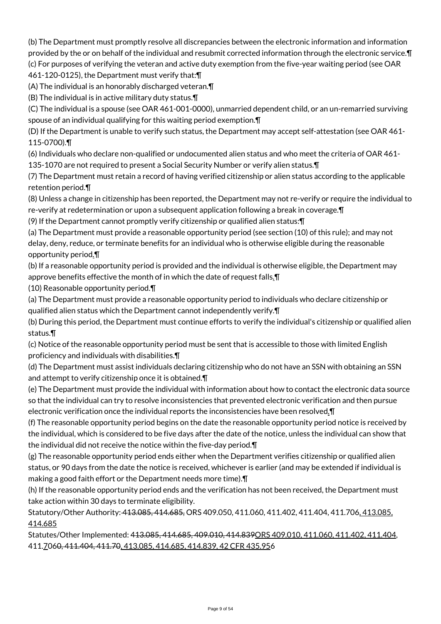(b) The Department must promptly resolve all discrepancies between the electronic information and information provided by the or on behalf of the individual and resubmit corrected information through the electronic service.¶ (c) For purposes of verifying the veteran and active duty exemption from the five-year waiting period (see OAR 461-120-0125), the Department must verify that:¶

(A) The individual is an honorably discharged veteran.¶

(B) The individual is in active military duty status.¶

(C) The individual is a spouse (see OAR 461-001-0000), unmarried dependent child, or an un-remarried surviving spouse of an individual qualifying for this waiting period exemption.¶

(D) If the Department is unable to verify such status, the Department may accept self-attestation (see OAR 461- 115-0700).¶

(6) Individuals who declare non-qualified or undocumented alien status and who meet the criteria of OAR 461- 135-1070 are not required to present a Social Security Number or verify alien status.¶

(7) The Department must retain a record of having verified citizenship or alien status according to the applicable retention period.¶

(8) Unless a change in citizenship has been reported, the Department may not re-verify or require the individual to re-verify at redetermination or upon a subsequent application following a break in coverage.¶

(9) If the Department cannot promptly verify citizenship or qualified alien status:¶

(a) The Department must provide a reasonable opportunity period (see section (10) of this rule); and may not delay, deny, reduce, or terminate benefits for an individual who is otherwise eligible during the reasonable opportunity period.¶

(b) If a reasonable opportunity period is provided and the individual is otherwise eligible, the Department may approve benefits effective the month of in which the date of request falls.¶

(10) Reasonable opportunity period.¶

(a) The Department must provide a reasonable opportunity period to individuals who declare citizenship or qualified alien status which the Department cannot independently verify.¶

(b) During this period, the Department must continue efforts to verify the individual's citizenship or qualified alien status.¶

(c) Notice of the reasonable opportunity period must be sent that is accessible to those with limited English proficiency and individuals with disabilities.¶

(d) The Department must assist individuals declaring citizenship who do not have an SSN with obtaining an SSN and attempt to verify citizenship once it is obtained.¶

(e) The Department must provide the individual with information about how to contact the electronic data source so that the individual can try to resolve inconsistencies that prevented electronic verification and then pursue electronic verification once the individual reports the inconsistencies have been resolved.¶

(f) The reasonable opportunity period begins on the date the reasonable opportunity period notice is received by the individual, which is considered to be five days after the date of the notice, unless the individual can show that the individual did not receive the notice within the five-day period.¶

(g) The reasonable opportunity period ends either when the Department verifies citizenship or qualified alien status, or 90 days from the date the notice is received, whichever is earlier (and may be extended if individual is making a good faith effort or the Department needs more time).¶

(h) If the reasonable opportunity period ends and the verification has not been received, the Department must take action within 30 days to terminate eligibility.

Statutory/Other Authority: 413.085, 414.685, ORS 409.050, 411.060, 411.402, 411.404, 411.706, 413.085, 414.685

Statutes/Other Implemented: 413.085, 414.685, 409.010, 414.839ORS 409.010, 411.060, 411.402, 411.404, 411.7060, 411.404, 411.70, 413.085, 414.685, 414.839, 42 CFR 435.956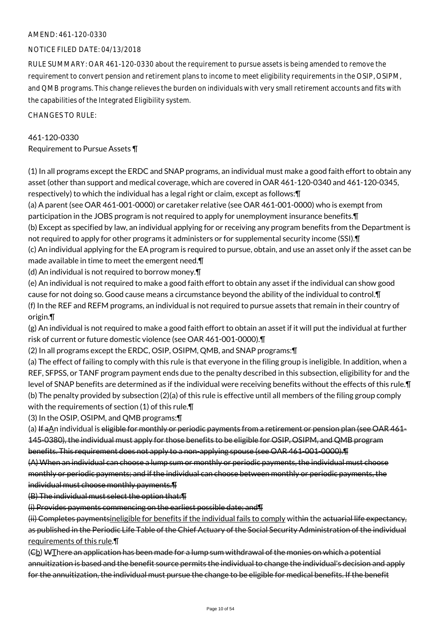## NOTICE FILED DATE: 04/13/2018

RULE SUMMARY: OAR 461-120-0330 about the requirement to pursue assets is being amended to remove the requirement to convert pension and retirement plans to income to meet eligibility requirements in the OSIP, OSIPM, and QMB programs. This change relieves the burden on individuals with very small retirement accounts and fits with the capabilities of the Integrated Eligibility system.

CHANGES TO RULE:

# 461-120-0330

Requirement to Pursue Assets ¶

(1) In all programs except the ERDC and SNAP programs, an individual must make a good faith effort to obtain any asset (other than support and medical coverage, which are covered in OAR 461-120-0340 and 461-120-0345, respectively) to which the individual has a legal right or claim, except as follows:¶

(a) A parent (see OAR 461-001-0000) or caretaker relative (see OAR 461-001-0000) who is exempt from participation in the JOBS program is not required to apply for unemployment insurance benefits.¶

(b) Except as specified by law, an individual applying for or receiving any program benefits from the Department is not required to apply for other programs it administers or for supplemental security income (SSI). [T

(c) An individual applying for the EA program is required to pursue, obtain, and use an asset only if the asset can be made available in time to meet the emergent need.¶

(d) An individual is not required to borrow money.¶

(e) An individual is not required to make a good faith effort to obtain any asset if the individual can show good cause for not doing so. Good cause means a circumstance beyond the ability of the individual to control.¶ (f) In the REF and REFM programs, an individual is not required to pursue assets that remain in their country of origin.¶

(g) An individual is not required to make a good faith effort to obtain an asset if it will put the individual at further risk of current or future domestic violence (see OAR 461-001-0000).¶

(2) In all programs except the ERDC, OSIP, OSIPM, QMB, and SNAP programs:¶

(a) The effect of failing to comply with this rule is that everyone in the filing group is ineligible. In addition, when a REF, SFPSS, or TANF program payment ends due to the penalty described in this subsection, eligibility for and the level of SNAP benefits are determined as if the individual were receiving benefits without the effects of this rule.¶ (b) The penalty provided by subsection (2)(a) of this rule is effective until all members of the filing group comply with the requirements of section (1) of this rule.¶

(3) In the OSIP, OSIPM, and QMB programs:¶

(a) If aAn individual is eligible for monthly or periodic payments from a retirement or pension plan (see OAR 461-145-0380), the individual must apply for those benefits to be eligible for OSIP, OSIPM, and QMB program benefits. This requirement does not apply to a non-applying spouse (see OAR 461-001-0000).¶

(A) When an individual can choose a lump sum or monthly or periodic payments, the individual must choose monthly or periodic payments; and if the individual can choose between monthly or periodic payments, the individual must choose monthly payments.¶

(B) The individual must select the option that:¶

(i) Provides payments commencing on the earliest possible date; and¶

(ii) Completes paymentsineligible for benefits if the individual fails to comply within the actuarial life expectancy, as published in the Periodic Life Table of the Chief Actuary of the Social Security Administration of the individual requirements of this rule.¶

 $(E_1)$  WThere an application has been made for a lump sum withdrawal of the monies on which a potential annuitization is based and the benefit source permits the individual to change the individual's decision and apply for the annuitization, the individual must pursue the change to be eligible for medical benefits. If the benefit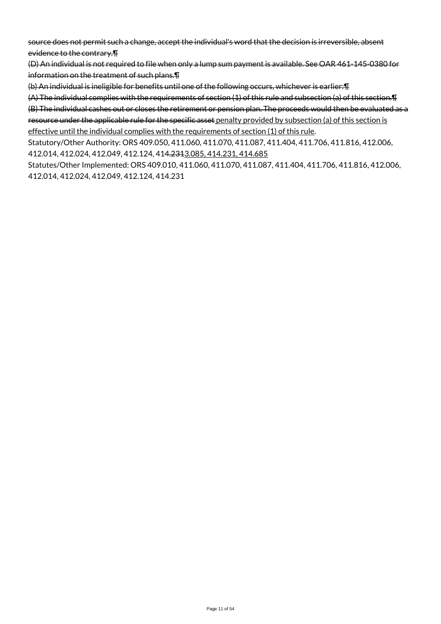source does not permit such a change, accept the individual's word that the decision is irreversible, absent evidence to the contrary.¶

(D) An individual is not required to file when only a lump sum payment is available. See OAR 461-145-0380 for information on the treatment of such plans.¶

(b) An individual is ineligible for benefits until one of the following occurs, whichever is earlier:¶

(A) The individual complies with the requirements of section (1) of this rule and subsection (a) of this section.¶

(B) The individual cashes out or closes the retirement or pension plan. The proceeds would then be evaluated as a resource under the applicable rule for the specific asset penalty provided by subsection (a) of this section is

effective until the individual complies with the requirements of section (1) of this rule.

Statutory/Other Authority: ORS 409.050, 411.060, 411.070, 411.087, 411.404, 411.706, 411.816, 412.006, 412.014, 412.024, 412.049, 412.124, 414.2313.085, 414.231, 414.685

Statutes/Other Implemented: ORS 409.010, 411.060, 411.070, 411.087, 411.404, 411.706, 411.816, 412.006, 412.014, 412.024, 412.049, 412.124, 414.231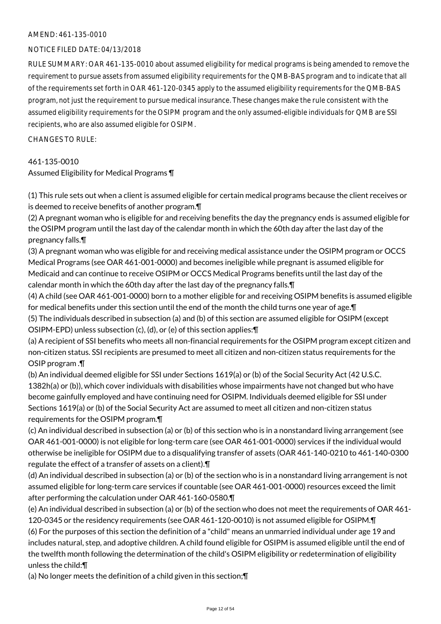## NOTICE FILED DATE: 04/13/2018

RULE SUMMARY: OAR 461-135-0010 about assumed eligibility for medical programs is being amended to remove the requirement to pursue assets from assumed eligibility requirements for the QMB-BAS program and to indicate that all of the requirements set forth in OAR 461-120-0345 apply to the assumed eligibility requirements for the QMB-BAS program, not just the requirement to pursue medical insurance. These changes make the rule consistent with the assumed eligibility requirements for the OSIPM program and the only assumed-eligible individuals for QMB are SSI recipients, who are also assumed eligible for OSIPM.

CHANGES TO RULE:

## 461-135-0010

## Assumed Eligibility for Medical Programs ¶

(1) This rule sets out when a client is assumed eligible for certain medical programs because the client receives or is deemed to receive benefits of another program.¶

(2) A pregnant woman who is eligible for and receiving benefits the day the pregnancy ends is assumed eligible for the OSIPM program until the last day of the calendar month in which the 60th day after the last day of the pregnancy falls.¶

(3) A pregnant woman who was eligible for and receiving medical assistance under the OSIPM program or OCCS Medical Programs (see OAR 461-001-0000) and becomes ineligible while pregnant is assumed eligible for Medicaid and can continue to receive OSIPM or OCCS Medical Programs benefits until the last day of the calendar month in which the 60th day after the last day of the pregnancy falls.¶

(4) A child (see OAR 461-001-0000) born to a mother eligible for and receiving OSIPM benefits is assumed eligible for medical benefits under this section until the end of the month the child turns one year of age.¶ (5) The individuals described in subsection (a) and (b) of this section are assumed eligible for OSIPM (except

OSIPM-EPD) unless subsection (c), (d), or (e) of this section applies:¶

(a) A recipient of SSI benefits who meets all non-financial requirements for the OSIPM program except citizen and non-citizen status. SSI recipients are presumed to meet all citizen and non-citizen status requirements for the OSIP program .¶

(b) An individual deemed eligible for SSI under Sections 1619(a) or (b) of the Social Security Act (42 U.S.C. 1382h(a) or (b)), which cover individuals with disabilities whose impairments have not changed but who have become gainfully employed and have continuing need for OSIPM. Individuals deemed eligible for SSI under Sections 1619(a) or (b) of the Social Security Act are assumed to meet all citizen and non-citizen status requirements for the OSIPM program.¶

(c) An individual described in subsection (a) or (b) of this section who is in a nonstandard living arrangement (see OAR 461-001-0000) is not eligible for long-term care (see OAR 461-001-0000) services if the individual would otherwise be ineligible for OSIPM due to a disqualifying transfer of assets (OAR 461-140-0210 to 461-140-0300 regulate the effect of a transfer of assets on a client).¶

(d) An individual described in subsection (a) or (b) of the section who is in a nonstandard living arrangement is not assumed eligible for long-term care services if countable (see OAR 461-001-0000) resources exceed the limit after performing the calculation under OAR 461-160-0580.¶

(e) An individual described in subsection (a) or (b) of the section who does not meet the requirements of OAR 461- 120-0345 or the residency requirements (see OAR 461-120-0010) is not assumed eligible for OSIPM.¶ (6) For the purposes of this section the definition of a "child" means an unmarried individual under age 19 and

includes natural, step, and adoptive children. A child found eligible for OSIPM is assumed eligible until the end of the twelfth month following the determination of the child's OSIPM eligibility or redetermination of eligibility unless the child:¶

(a) No longer meets the definition of a child given in this section;¶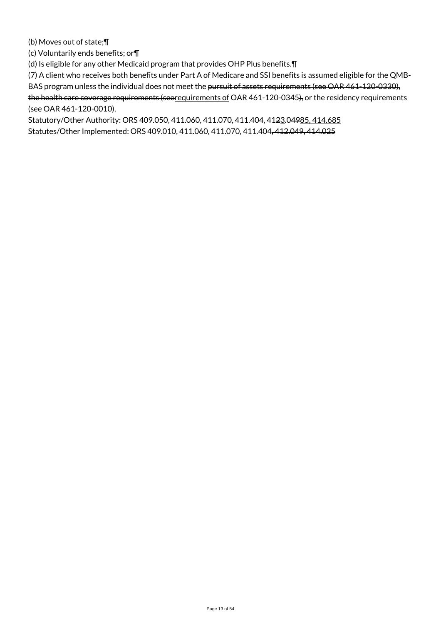(b) Moves out of state;¶

(c) Voluntarily ends benefits; or¶

(d) Is eligible for any other Medicaid program that provides OHP Plus benefits.¶

(7) A client who receives both benefits under Part A of Medicare and SSI benefits is assumed eligible for the QMB-BAS program unless the individual does not meet the pursuit of assets requirements (see OAR 461-120-0330), the health care coverage requirements (seerequirements of OAR 461-120-0345), or the residency requirements (see OAR 461-120-0010).

Statutory/Other Authority: ORS 409.050, 411.060, 411.070, 411.404, 4123.04985, 414.685 Statutes/Other Implemented: ORS 409.010, 411.060, 411.070, 411.404, 412.049, 414.025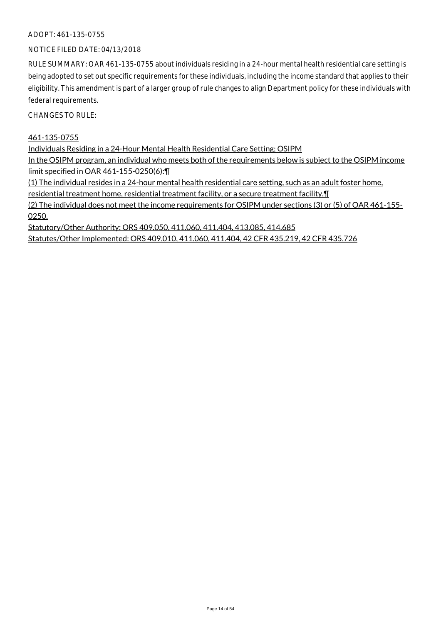## ADOPT: 461-135-0755

## NOTICE FILED DATE: 04/13/2018

RULE SUMMARY: OAR 461-135-0755 about individuals residing in a 24-hour mental health residential care setting is being adopted to set out specific requirements for these individuals, including the income standard that applies to their eligibility. This amendment is part of a larger group of rule changes to align Department policy for these individuals with federal requirements.

CHANGES TO RULE:

#### 461-135-0755

Individuals Residing in a 24-Hour Mental Health Residential Care Setting; OSIPM

In the OSIPM program, an individual who meets both of the requirements below is subject to the OSIPM income limit specified in OAR 461-155-0250(6):¶

(1) The individual resides in a 24-hour mental health residential care setting, such as an adult foster home,

residential treatment home, residential treatment facility, or a secure treatment facility.¶

(2) The individual does not meet the income requirements for OSIPM under sections (3) or (5) of OAR 461-155- 0250.

Statutory/Other Authority: ORS 409.050, 411.060, 411.404, 413.085, 414.685 Statutes/Other Implemented: ORS 409.010, 411.060, 411.404, 42 CFR 435.219, 42 CFR 435.726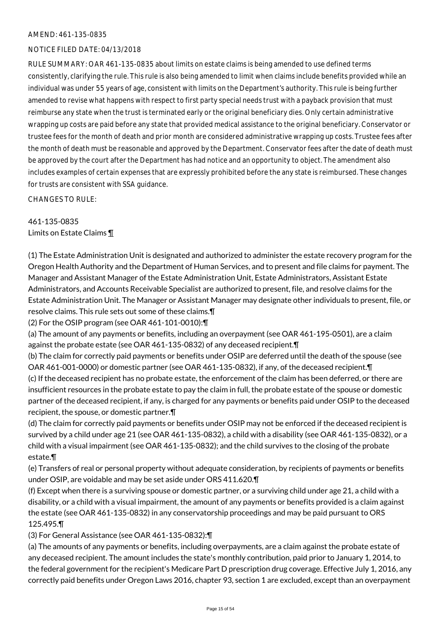## NOTICE FILED DATE: 04/13/2018

RULE SUMMARY: OAR 461-135-0835 about limits on estate claims is being amended to use defined terms consistently, clarifying the rule. This rule is also being amended to limit when claims include benefits provided while an individual was under 55 years of age, consistent with limits on the Department's authority. This rule is being further amended to revise what happens with respect to first party special needs trust with a payback provision that must reimburse any state when the trust is terminated early or the original beneficiary dies. Only certain administrative wrapping up costs are paid before any state that provided medical assistance to the original beneficiary. Conservator or trustee fees for the month of death and prior month are considered administrative wrapping up costs. Trustee fees after the month of death must be reasonable and approved by the Department. Conservator fees after the date of death must be approved by the court after the Department has had notice and an opportunity to object. The amendment also includes examples of certain expenses that are expressly prohibited before the any state is reimbursed. These changes for trusts are consistent with SSA guidance.

CHANGES TO RULE:

461-135-0835 Limits on Estate Claims ¶

(1) The Estate Administration Unit is designated and authorized to administer the estate recovery program for the Oregon Health Authority and the Department of Human Services, and to present and file claims for payment. The Manager and Assistant Manager of the Estate Administration Unit, Estate Administrators, Assistant Estate Administrators, and Accounts Receivable Specialist are authorized to present, file, and resolve claims for the Estate Administration Unit. The Manager or Assistant Manager may designate other individuals to present, file, or resolve claims. This rule sets out some of these claims.¶

(2) For the OSIP program (see OAR 461-101-0010):¶

(a) The amount of any payments or benefits, including an overpayment (see OAR 461-195-0501), are a claim against the probate estate (see OAR 461-135-0832) of any deceased recipient.¶

(b) The claim for correctly paid payments or benefits under OSIP are deferred until the death of the spouse (see OAR 461-001-0000) or domestic partner (see OAR 461-135-0832), if any, of the deceased recipient.¶

(c) If the deceased recipient has no probate estate, the enforcement of the claim has been deferred, or there are insufficient resources in the probate estate to pay the claim in full, the probate estate of the spouse or domestic partner of the deceased recipient, if any, is charged for any payments or benefits paid under OSIP to the deceased recipient, the spouse, or domestic partner.¶

(d) The claim for correctly paid payments or benefits under OSIP may not be enforced if the deceased recipient is survived by a child under age 21 (see OAR 461-135-0832), a child with a disability (see OAR 461-135-0832), or a child with a visual impairment (see OAR 461-135-0832); and the child survives to the closing of the probate estate.¶

(e) Transfers of real or personal property without adequate consideration, by recipients of payments or benefits under OSIP, are voidable and may be set aside under ORS 411.620.¶

(f) Except when there is a surviving spouse or domestic partner, or a surviving child under age 21, a child with a disability, or a child with a visual impairment, the amount of any payments or benefits provided is a claim against the estate (see OAR 461-135-0832) in any conservatorship proceedings and may be paid pursuant to ORS 125.495.¶

(3) For General Assistance (see OAR 461-135-0832):¶

(a) The amounts of any payments or benefits, including overpayments, are a claim against the probate estate of any deceased recipient. The amount includes the state's monthly contribution, paid prior to January 1, 2014, to the federal government for the recipient's Medicare Part D prescription drug coverage. Effective July 1, 2016, any correctly paid benefits under Oregon Laws 2016, chapter 93, section 1 are excluded, except than an overpayment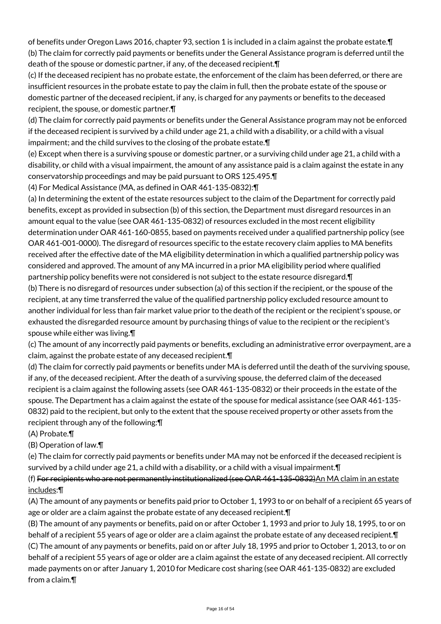of benefits under Oregon Laws 2016, chapter 93, section 1 is included in a claim against the probate estate.¶ (b) The claim for correctly paid payments or benefits under the General Assistance program is deferred until the death of the spouse or domestic partner, if any, of the deceased recipient.¶

(c) If the deceased recipient has no probate estate, the enforcement of the claim has been deferred, or there are insufficient resources in the probate estate to pay the claim in full, then the probate estate of the spouse or domestic partner of the deceased recipient, if any, is charged for any payments or benefits to the deceased recipient, the spouse, or domestic partner.¶

(d) The claim for correctly paid payments or benefits under the General Assistance program may not be enforced if the deceased recipient is survived by a child under age 21, a child with a disability, or a child with a visual impairment; and the child survives to the closing of the probate estate.¶

(e) Except when there is a surviving spouse or domestic partner, or a surviving child under age 21, a child with a disability, or child with a visual impairment, the amount of any assistance paid is a claim against the estate in any conservatorship proceedings and may be paid pursuant to ORS 125.495.¶

(4) For Medical Assistance (MA, as defined in OAR 461-135-0832):¶

(a) In determining the extent of the estate resources subject to the claim of the Department for correctly paid benefits, except as provided in subsection (b) of this section, the Department must disregard resources in an amount equal to the value (see OAR 461-135-0832) of resources excluded in the most recent eligibility determination under OAR 461-160-0855, based on payments received under a qualified partnership policy (see OAR 461-001-0000). The disregard of resources specific to the estate recovery claim applies to MA benefits received after the effective date of the MA eligibility determination in which a qualified partnership policy was considered and approved. The amount of any MA incurred in a prior MA eligibility period where qualified partnership policy benefits were not considered is not subject to the estate resource disregard.¶

(b) There is no disregard of resources under subsection (a) of this section if the recipient, or the spouse of the recipient, at any time transferred the value of the qualified partnership policy excluded resource amount to another individual for less than fair market value prior to the death of the recipient or the recipient's spouse, or exhausted the disregarded resource amount by purchasing things of value to the recipient or the recipient's spouse while either was living.¶

(c) The amount of any incorrectly paid payments or benefits, excluding an administrative error overpayment, are a claim, against the probate estate of any deceased recipient.¶

(d) The claim for correctly paid payments or benefits under MA is deferred until the death of the surviving spouse, if any, of the deceased recipient. After the death of a surviving spouse, the deferred claim of the deceased recipient is a claim against the following assets (see OAR 461-135-0832) or their proceeds in the estate of the spouse. The Department has a claim against the estate of the spouse for medical assistance (see OAR 461-135- 0832) paid to the recipient, but only to the extent that the spouse received property or other assets from the recipient through any of the following:¶

(A) Probate.¶

(B) Operation of law.¶

(e) The claim for correctly paid payments or benefits under MA may not be enforced if the deceased recipient is survived by a child under age 21, a child with a disability, or a child with a visual impairment.¶

(f) For recipients who are not permanently institutionalized (see OAR 461-135-0832)An MA claim in an estate includes:¶

(A) The amount of any payments or benefits paid prior to October 1, 1993 to or on behalf of a recipient 65 years of age or older are a claim against the probate estate of any deceased recipient.¶

(B) The amount of any payments or benefits, paid on or after October 1, 1993 and prior to July 18, 1995, to or on behalf of a recipient 55 years of age or older are a claim against the probate estate of any deceased recipient.¶ (C) The amount of any payments or benefits, paid on or after July 18, 1995 and prior to October 1, 2013, to or on behalf of a recipient 55 years of age or older are a claim against the estate of any deceased recipient. All correctly made payments on or after January 1, 2010 for Medicare cost sharing (see OAR 461-135-0832) are excluded from a claim.¶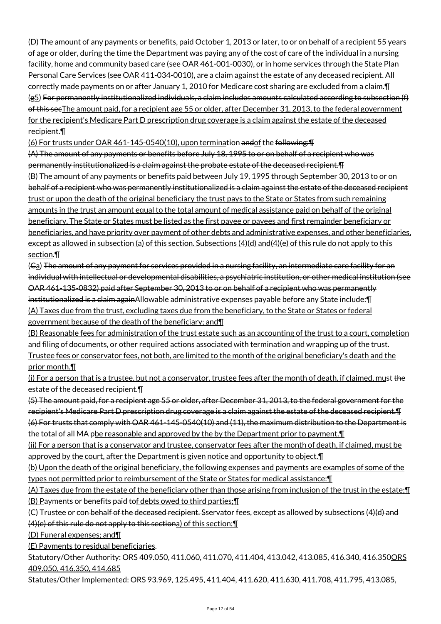(D) The amount of any payments or benefits, paid October 1, 2013 or later, to or on behalf of a recipient 55 years of age or older, during the time the Department was paying any of the cost of care of the individual in a nursing facility, home and community based care (see OAR 461-001-0030), or in home services through the State Plan Personal Care Services (see OAR 411-034-0010), are a claim against the estate of any deceased recipient. All correctly made payments on or after January 1, 2010 for Medicare cost sharing are excluded from a claim.¶ (g5) For permanently institutionalized individuals, a claim includes amounts calculated according to subsection (f) of this secThe amount paid, for a recipient age 55 or older, after December 31, 2013, to the federal government for the recipient's Medicare Part D prescription drug coverage is a claim against the estate of the deceased recipient.¶

(6) For trusts under OAR 461-145-0540(10), upon termination andof the following:¶

(A) The amount of any payments or benefits before July 18, 1995 to or on behalf of a recipient who was permanently institutionalized is a claim against the probate estate of the deceased recipient.¶ (B) The amount of any payments or benefits paid between July 19, 1995 through September 30, 2013 to or on behalf of a recipient who was permanently institutionalized is a claim against the estate of the deceased recipient trust or upon the death of the original beneficiary the trust pays to the State or States from such remaining amounts in the trust an amount equal to the total amount of medical assistance paid on behalf of the original beneficiary. The State or States must be listed as the first payee or payees and first remainder beneficiary or beneficiaries, and have priority over payment of other debts and administrative expenses, and other beneficiaries, except as allowed in subsection (a) of this section. Subsections (4)(d) and(4)(e) of this rule do not apply to this section.¶

(Ca) The amount of any payment for services provided in a nursing facility, an intermediate care facility for an individual with intellectual or developmental disabilities, a psychiatric institution, or other medical institution (see OAR 461-135-0832) paid after September 30, 2013 to or on behalf of a recipient who was permanently institutionalized is a claim againAllowable administrative expenses payable before any State include:¶ (A) Taxes due from the trust, excluding taxes due from the beneficiary, to the State or States or federal government because of the death of the beneficiary; and¶

(B) Reasonable fees for administration of the trust estate such as an accounting of the trust to a court, completion and filing of documents, or other required actions associated with termination and wrapping up of the trust. Trustee fees or conservator fees, not both, are limited to the month of the original beneficiary's death and the prior month.¶

(i) For a person that is a trustee, but not a conservator, trustee fees after the month of death, if claimed, must the estate of the deceased recipient.¶

(5) The amount paid, for a recipient age 55 or older, after December 31, 2013, to the federal government for the recipient's Medicare Part D prescription drug coverage is a claim against the estate of the deceased recipient.¶ (6) For trusts that comply with OAR 461-145-0540(10) and (11), the maximum distribution to the Department is the total of all MA pbe reasonable and approved by the by the Department prior to payment. T

(ii) For a person that is a conservator and trustee, conservator fees after the month of death, if claimed, must be approved by the court, after the Department is given notice and opportunity to object.¶

(b) Upon the death of the original beneficiary, the following expenses and payments are examples of some of the types not permitted prior to reimbursement of the State or States for medical assistance:¶

(A) Taxes due from the estate of the beneficiary other than those arising from inclusion of the trust in the estate;¶ (B) Payments or benefits paid tof debts owed to third parties;¶

(C) Trustee or con behalf of the deceased recipient. Sservator fees, except as allowed by subsections (4)(d) and (4)(e) of this rule do not apply to this sectiona) of this section;¶

(D) Funeral expenses; and¶

(E) Payments to residual beneficiaries.

Statutory/Other Authority: ORS 409.050, 411.060, 411.070, 411.404, 413.042, 413.085, 416.340, 416.350 ORS 409.050, 416.350, 414.685

Statutes/Other Implemented: ORS 93.969, 125.495, 411.404, 411.620, 411.630, 411.708, 411.795, 413.085,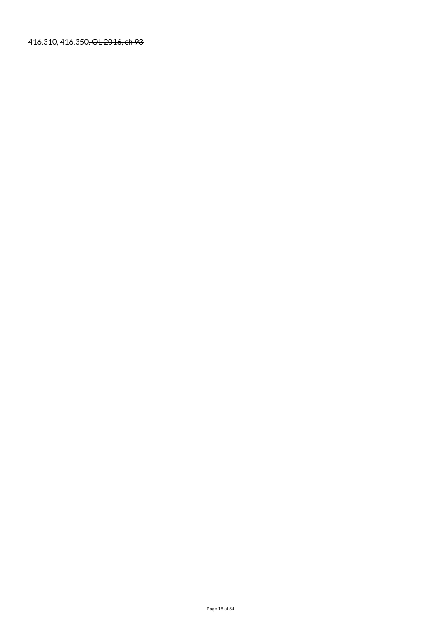416.310, 416.350, OL 2016, ch 93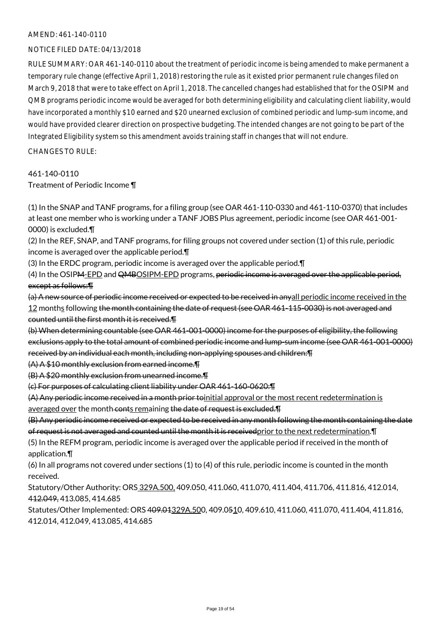## NOTICE FILED DATE: 04/13/2018

RULE SUMMARY: OAR 461-140-0110 about the treatment of periodic income is being amended to make permanent a temporary rule change (effective April 1, 2018) restoring the rule as it existed prior permanent rule changes filed on March 9, 2018 that were to take effect on April 1, 2018. The cancelled changes had established that for the OSIPM and QMB programs periodic income would be averaged for both determining eligibility and calculating client liability, would have incorporated a monthly \$10 earned and \$20 unearned exclusion of combined periodic and lump-sum income, and would have provided clearer direction on prospective budgeting. The intended changes are not going to be part of the Integrated Eligibility system so this amendment avoids training staff in changes that will not endure.

CHANGES TO RULE:

461-140-0110

Treatment of Periodic Income ¶

(1) In the SNAP and TANF programs, for a filing group (see OAR 461-110-0330 and 461-110-0370) that includes at least one member who is working under a TANF JOBS Plus agreement, periodic income (see OAR 461-001- 0000) is excluded.¶

(2) In the REF, SNAP, and TANF programs, for filing groups not covered under section (1) of this rule, periodic income is averaged over the applicable period.¶

(3) In the ERDC program, periodic income is averaged over the applicable period.¶

(4) In the OSIPM-EPD and QMBOSIPM-EPD programs, periodic income is averaged over the applicable period, except as follows:¶

(a) A new source of periodic income received or expected to be received in anyall periodic income received in the 12 months following the month containing the date of request (see OAR 461-115-0030) is not averaged and counted until the first month it is received.¶

(b) When determining countable (see OAR 461-001-0000) income for the purposes of eligibility, the following exclusions apply to the total amount of combined periodic income and lump-sum income (see OAR 461-001-0000) received by an individual each month, including non-applying spouses and children:¶

(A) A \$10 monthly exclusion from earned income.¶

(B) A \$20 monthly exclusion from unearned income.¶

(c) For purposes of calculating client liability under OAR 461-160-0620:¶

(A) Any periodic income received in a month prior toinitial approval or the most recent redetermination is averaged over the month conts remaining the date of request is excluded. F

(B) Any periodic income received or expected to be received in any month following the month containing the date of request is not averaged and counted until the month it is receivedprior to the next redetermination.¶

(5) In the REFM program, periodic income is averaged over the applicable period if received in the month of application.¶

(6) In all programs not covered under sections (1) to (4) of this rule, periodic income is counted in the month received.

Statutory/Other Authority: ORS 329A.500, 409.050, 411.060, 411.070, 411.404, 411.706, 411.816, 412.014, 412.049, 413.085, 414.685

Statutes/Other Implemented: ORS 409.01329A.500, 409.0510, 409.610, 411.060, 411.070, 411.404, 411.816, 412.014, 412.049, 413.085, 414.685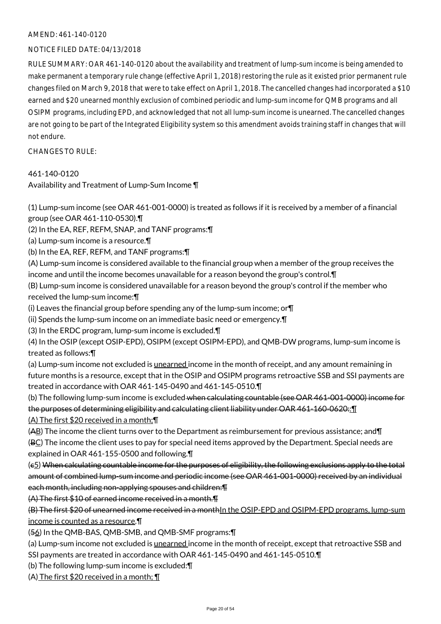## NOTICE FILED DATE: 04/13/2018

RULE SUMMARY: OAR 461-140-0120 about the availability and treatment of lump-sum income is being amended to make permanent a temporary rule change (effective April 1, 2018) restoring the rule as it existed prior permanent rule changes filed on March 9, 2018 that were to take effect on April 1, 2018. The cancelled changes had incorporated a \$10 earned and \$20 unearned monthly exclusion of combined periodic and lump-sum income for QMB programs and all OSIPM programs, including EPD, and acknowledged that not all lump-sum income is unearned. The cancelled changes are not going to be part of the Integrated Eligibility system so this amendment avoids training staff in changes that will not endure.

CHANGES TO RULE:

## 461-140-0120

Availability and Treatment of Lump-Sum Income ¶

(1) Lump-sum income (see OAR 461-001-0000) is treated as follows if it is received by a member of a financial group (see OAR 461-110-0530).¶

(2) In the EA, REF, REFM, SNAP, and TANF programs:¶

(a) Lump-sum income is a resource.¶

(b) In the EA, REF, REFM, and TANF programs:¶

(A) Lump-sum income is considered available to the financial group when a member of the group receives the income and until the income becomes unavailable for a reason beyond the group's control.¶

(B) Lump-sum income is considered unavailable for a reason beyond the group's control if the member who received the lump-sum income:¶

(i) Leaves the financial group before spending any of the lump-sum income; or¶

(ii) Spends the lump-sum income on an immediate basic need or emergency.¶

(3) In the ERDC program, lump-sum income is excluded.¶

(4) In the OSIP (except OSIP-EPD), OSIPM (except OSIPM-EPD), and QMB-DW programs, lump-sum income is treated as follows:¶

(a) Lump-sum income not excluded is unearned income in the month of receipt, and any amount remaining in future months is a resource, except that in the OSIP and OSIPM programs retroactive SSB and SSI payments are treated in accordance with OAR 461-145-0490 and 461-145-0510.¶

(b) The following lump-sum income is excluded when calculating countable (see OAR 461-001-0000) income for the purposes of determining eligibility and calculating client liability under OAR 461-160-0620:: [1]

(A) The first \$20 received in a month;¶

(AB) The income the client turns over to the Department as reimbursement for previous assistance; and¶

(BC) The income the client uses to pay for special need items approved by the Department. Special needs are explained in OAR 461-155-0500 and following.¶

(c5) When calculating countable income for the purposes of eligibility, the following exclusions apply to the total amount of combined lump-sum income and periodic income (see OAR 461-001-0000) received by an individual each month, including non-applying spouses and children:¶

(A) The first \$10 of earned income received in a month.¶

(B) The first \$20 of unearned income received in a monthIn the OSIP-EPD and OSIPM-EPD programs, lump-sum income is counted as a resource.¶

(56) In the QMB-BAS, QMB-SMB, and QMB-SMF programs:¶

(a) Lump-sum income not excluded is <u>unearned</u> income in the month of receipt, except that retroactive SSB and SSI payments are treated in accordance with OAR 461-145-0490 and 461-145-0510.¶

(b) The following lump-sum income is excluded:¶

(A) The first \$20 received in a month; ¶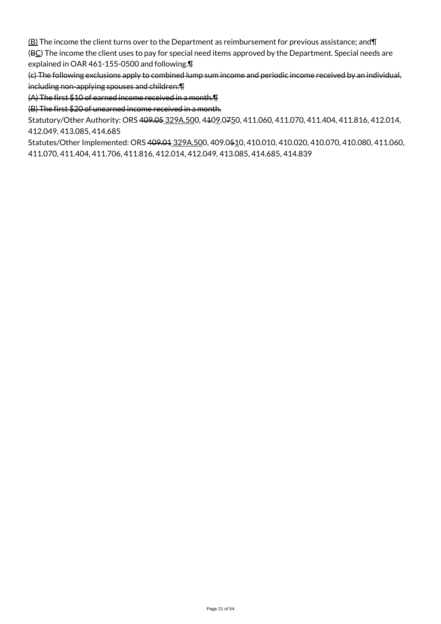$\underline{(B)}$  The income the client turns over to the Department as reimbursement for previous assistance; and $\P$ (BC) The income the client uses to pay for special need items approved by the Department. Special needs are explained in OAR 461-155-0500 and following.¶

(c) The following exclusions apply to combined lump sum income and periodic income received by an individual, including non-applying spouses and children:¶

(A) The first \$10 of earned income received in a month.¶

(B) The first \$20 of unearned income received in a month.

Statutory/Other Authority: ORS 409.05 329A.500, 4109.0750, 411.060, 411.070, 411.404, 411.816, 412.014, 412.049, 413.085, 414.685

Statutes/Other Implemented: ORS 409.01 329A.500, 409.0510, 410.010, 410.020, 410.070, 410.080, 411.060, 411.070, 411.404, 411.706, 411.816, 412.014, 412.049, 413.085, 414.685, 414.839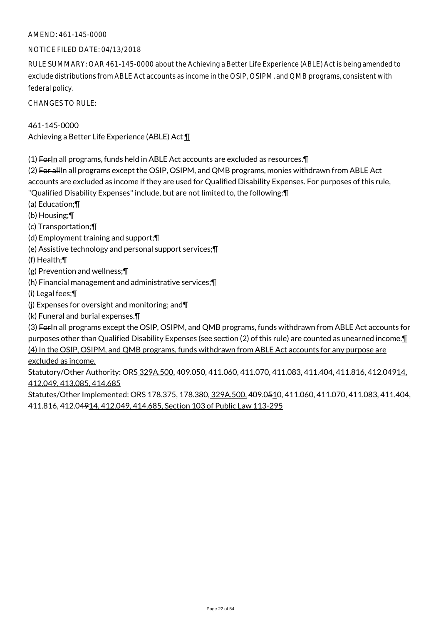## NOTICE FILED DATE: 04/13/2018

RULE SUMMARY: OAR 461-145-0000 about the Achieving a Better Life Experience (ABLE) Act is being amended to exclude distributions from ABLE Act accounts as income in the OSIP, OSIPM, and QMB programs, consistent with federal policy.

CHANGES TO RULE:

461-145-0000 Achieving a Better Life Experience (ABLE) Act ¶

(1) ForIn all programs, funds held in ABLE Act accounts are excluded as resources.¶

(2) For allIn all programs except the OSIP, OSIPM, and QMB programs, monies withdrawn from ABLE Act accounts are excluded as income if they are used for Qualified Disability Expenses. For purposes of this rule,

"Qualified Disability Expenses" include, but are not limited to, the following:¶

(a) Education;¶

(b) Housing;¶

(c) Transportation;¶

(d) Employment training and support;¶

(e) Assistive technology and personal support services;¶

(f) Health;¶

(g) Prevention and wellness;¶

(h) Financial management and administrative services;¶

(i) Legal fees;¶

(j) Expenses for oversight and monitoring; and¶

(k) Funeral and burial expenses.¶

(3) ForIn all programs except the OSIP, OSIPM, and QMB programs, funds withdrawn from ABLE Act accounts for purposes other than Qualified Disability Expenses (see section (2) of this rule) are counted as unearned income.¶ (4) In the OSIP, OSIPM, and QMB programs, funds withdrawn from ABLE Act accounts for any purpose are excluded as income.

Statutory/Other Authority: ORS 329A.500, 409.050, 411.060, 411.070, 411.083, 411.404, 411.816, 412.04914, 412.049, 413.085, 414.685

Statutes/Other Implemented: ORS 178.375, 178.380, 329A.500, 409.0510, 411.060, 411.070, 411.083, 411.404, 411.816, 412.04914, 412.049, 414.685, Section 103 of Public Law 113-295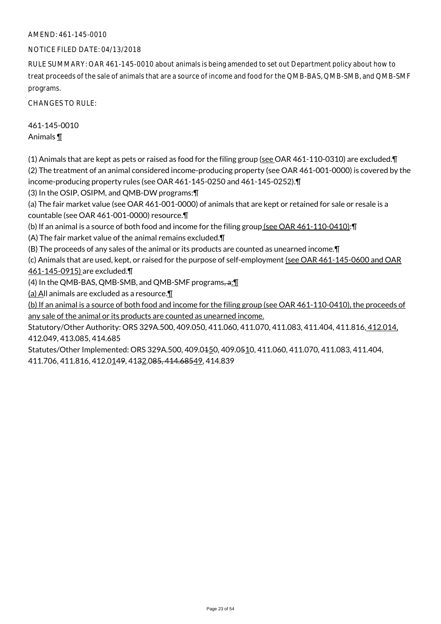## NOTICE FILED DATE: 04/13/2018

RULE SUMMARY: OAR 461-145-0010 about animals is being amended to set out Department policy about how to treat proceeds of the sale of animals that are a source of income and food for the QMB-BAS, QMB-SMB, and QMB-SMF programs.

CHANGES TO RULE:

461-145-0010 Animals ¶

(1) Animals that are kept as pets or raised as food for the filing group (see OAR 461-110-0310) are excluded.¶ (2) The treatment of an animal considered income-producing property (see OAR 461-001-0000) is covered by the income-producing property rules (see OAR 461-145-0250 and 461-145-0252).¶

(3) In the OSIP, OSIPM, and QMB-DW programs:¶

(a) The fair market value (see OAR 461-001-0000) of animals that are kept or retained for sale or resale is a countable (see OAR 461-001-0000) resource.¶

(b) If an animal is a source of both food and income for the filing group (see OAR 461-110-0410):¶

(A) The fair market value of the animal remains excluded.¶

(B) The proceeds of any sales of the animal or its products are counted as unearned income.¶

(c) Animals that are used, kept, or raised for the purpose of self-employment (see OAR 461-145-0600 and OAR 461-145-0915) are excluded.¶

(4) In the QMB-BAS, QMB-SMB, and QMB-SMF programs, a: 1

(a) All animals are excluded as a resource. $\P$ 

(b) If an animal is a source of both food and income for the filing group (see OAR 461-110-0410), the proceeds of any sale of the animal or its products are counted as unearned income.

Statutory/Other Authority: ORS 329A.500, 409.050, 411.060, 411.070, 411.083, 411.404, 411.816, 412.014, 412.049, 413.085, 414.685

Statutes/Other Implemented: ORS 329A.500, 409.0450, 409.0510, 411.060, 411.070, 411.083, 411.404, 411.706, 411.816, 412.0149, 4132.085, 414.68549, 414.839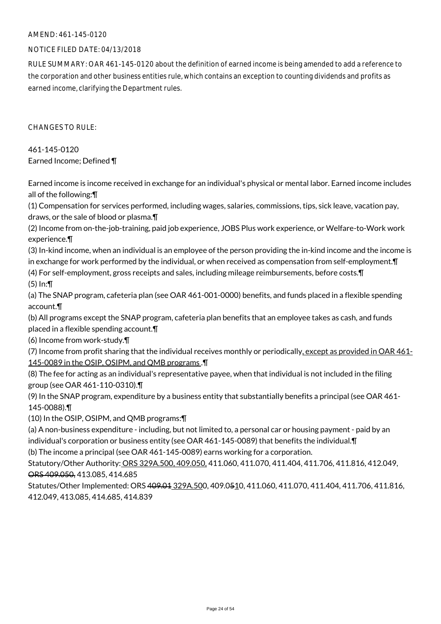## NOTICE FILED DATE: 04/13/2018

RULE SUMMARY: OAR 461-145-0120 about the definition of earned income is being amended to add a reference to the corporation and other business entities rule, which contains an exception to counting dividends and profits as earned income, clarifying the Department rules.

 $CHANGFS TO RIIF$ 

461-145-0120 Earned Income; Defined ¶

Earned income is income received in exchange for an individual's physical or mental labor. Earned income includes all of the following:¶

(1) Compensation for services performed, including wages, salaries, commissions, tips, sick leave, vacation pay, draws, or the sale of blood or plasma.¶

(2) Income from on-the-job-training, paid job experience, JOBS Plus work experience, or Welfare-to-Work work experience.¶

(3) In-kind income, when an individual is an employee of the person providing the in-kind income and the income is in exchange for work performed by the individual, or when received as compensation from self-employment.¶

(4) For self-employment, gross receipts and sales, including mileage reimbursements, before costs.¶ (5) In:¶

(a) The SNAP program, cafeteria plan (see OAR 461-001-0000) benefits, and funds placed in a flexible spending account.¶

(b) All programs except the SNAP program, cafeteria plan benefits that an employee takes as cash, and funds placed in a flexible spending account.¶

(6) Income from work-study.¶

(7) Income from profit sharing that the individual receives monthly or periodically, except as provided in OAR 461- 145-0089 in the OSIP, OSIPM, and QMB programs .¶

(8) The fee for acting as an individual's representative payee, when that individual is not included in the filing group (see OAR 461-110-0310).¶

(9) In the SNAP program, expenditure by a business entity that substantially benefits a principal (see OAR 461- 145-0088).¶

(10) In the OSIP, OSIPM, and QMB programs:¶

(a) A non-business expenditure - including, but not limited to, a personal car or housing payment - paid by an individual's corporation or business entity (see OAR 461-145-0089) that benefits the individual.¶

(b) The income a principal (see OAR 461-145-0089) earns working for a corporation.

Statutory/Other Authority: ORS 329A.500, 409.050, 411.060, 411.070, 411.404, 411.706, 411.816, 412.049, ORS 409.050, 413.085, 414.685

Statutes/Other Implemented: ORS 409.01 329A.500, 409.0510, 411.060, 411.070, 411.404, 411.706, 411.816, 412.049, 413.085, 414.685, 414.839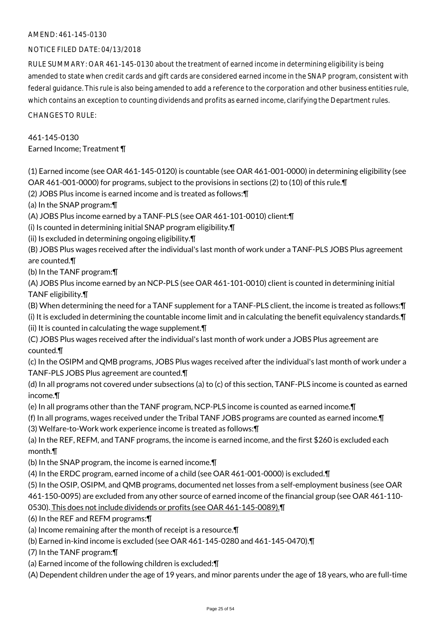## NOTICE FILED DATE: 04/13/2018

RULE SUMMARY: OAR 461-145-0130 about the treatment of earned income in determining eligibility is being amended to state when credit cards and gift cards are considered earned income in the SNAP program, consistent with federal guidance. This rule is also being amended to add a reference to the corporation and other business entities rule, which contains an exception to counting dividends and profits as earned income, clarifying the Department rules.

CHANGES TO RULE:

# 461-145-0130

Earned Income; Treatment ¶

(1) Earned income (see OAR 461-145-0120) is countable (see OAR 461-001-0000) in determining eligibility (see OAR 461-001-0000) for programs, subject to the provisions in sections (2) to (10) of this rule.¶

(2) JOBS Plus income is earned income and is treated as follows:¶

(a) In the SNAP program:¶

(A) JOBS Plus income earned by a TANF-PLS (see OAR 461-101-0010) client:¶

(i) Is counted in determining initial SNAP program eligibility.¶

(ii) Is excluded in determining ongoing eligibility.¶

(B) JOBS Plus wages received after the individual's last month of work under a TANF-PLS JOBS Plus agreement are counted.¶

(b) In the TANF program:¶

(A) JOBS Plus income earned by an NCP-PLS (see OAR 461-101-0010) client is counted in determining initial TANF eligibility.¶

(B) When determining the need for a TANF supplement for a TANF-PLS client, the income is treated as follows:¶

(i) It is excluded in determining the countable income limit and in calculating the benefit equivalency standards.¶

(ii) It is counted in calculating the wage supplement.¶

(C) JOBS Plus wages received after the individual's last month of work under a JOBS Plus agreement are counted.¶

(c) In the OSIPM and QMB programs, JOBS Plus wages received after the individual's last month of work under a TANF-PLS JOBS Plus agreement are counted.¶

(d) In all programs not covered under subsections (a) to (c) of this section, TANF-PLS income is counted as earned income.¶

- (e) In all programs other than the TANF program, NCP-PLS income is counted as earned income.¶
- (f) In all programs, wages received under the Tribal TANF JOBS programs are counted as earned income.¶

(3) Welfare-to-Work work experience income is treated as follows:¶

(a) In the REF, REFM, and TANF programs, the income is earned income, and the first \$260 is excluded each month.¶

(b) In the SNAP program, the income is earned income.¶

(4) In the ERDC program, earned income of a child (see OAR 461-001-0000) is excluded.¶

(5) In the OSIP, OSIPM, and QMB programs, documented net losses from a self-employment business (see OAR 461-150-0095) are excluded from any other source of earned income of the financial group (see OAR 461-110-

0530). This does not include dividends or profits (see OAR 461-145-0089).¶

(6) In the REF and REFM programs:¶

(a) Income remaining after the month of receipt is a resource.¶

(b) Earned in-kind income is excluded (see OAR 461-145-0280 and 461-145-0470).¶

(7) In the TANF program:¶

(a) Earned income of the following children is excluded:¶

(A) Dependent children under the age of 19 years, and minor parents under the age of 18 years, who are full-time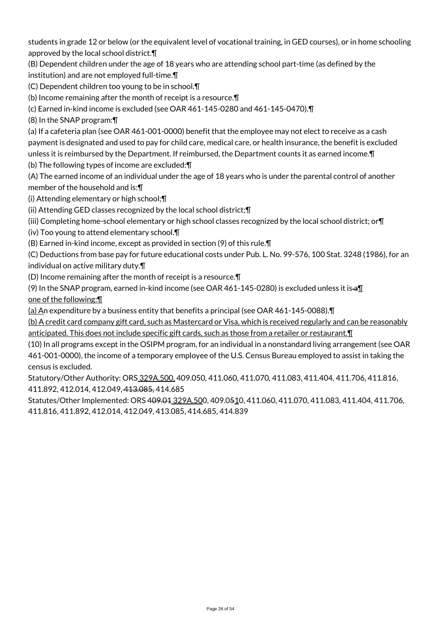students in grade 12 or below (or the equivalent level of vocational training, in GED courses), or in home schooling approved by the local school district.¶

(B) Dependent children under the age of 18 years who are attending school part-time (as defined by the institution) and are not employed full-time.¶

(C) Dependent children too young to be in school.¶

(b) Income remaining after the month of receipt is a resource.¶

(c) Earned in-kind income is excluded (see OAR 461-145-0280 and 461-145-0470).¶

(8) In the SNAP program:¶

(a) If a cafeteria plan (see OAR 461-001-0000) benefit that the employee may not elect to receive as a cash payment is designated and used to pay for child care, medical care, or health insurance, the benefit is excluded unless it is reimbursed by the Department. If reimbursed, the Department counts it as earned income.¶

(b) The following types of income are excluded:¶

(A) The earned income of an individual under the age of 18 years who is under the parental control of another member of the household and is:¶

(i) Attending elementary or high school;¶

(ii) Attending GED classes recognized by the local school district;¶

(iii) Completing home-school elementary or high school classes recognized by the local school district; or¶

(iv) Too young to attend elementary school.¶

(B) Earned in-kind income, except as provided in section (9) of this rule.¶

(C) Deductions from base pay for future educational costs under Pub. L. No. 99-576, 100 Stat. 3248 (1986), for an individual on active military duty.¶

(D) Income remaining after the month of receipt is a resource.¶

(9) In the SNAP program, earned in-kind income (see OAR 461-145-0280) is excluded unless it is  $\oplus \mathbb{I}$ 

one of the following:¶

(a) An expenditure by a business entity that benefits a principal (see OAR 461-145-0088).¶

(b) A credit card company gift card, such as Mastercard or Visa, which is received regularly and can be reasonably anticipated. This does not include specific gift cards, such as those from a retailer or restaurant.¶

(10) In all programs except in the OSIPM program, for an individual in a nonstandard living arrangement (see OAR 461-001-0000), the income of a temporary employee of the U.S. Census Bureau employed to assist in taking the census is excluded.

Statutory/Other Authority: ORS 329A.500, 409.050, 411.060, 411.070, 411.083, 411.404, 411.706, 411.816, 411.892, 412.014, 412.049, 413.085, 414.685

Statutes/Other Implemented: ORS 409.01 329A.500, 409.0510, 411.060, 411.070, 411.083, 411.404, 411.706, 411.816, 411.892, 412.014, 412.049, 413.085, 414.685, 414.839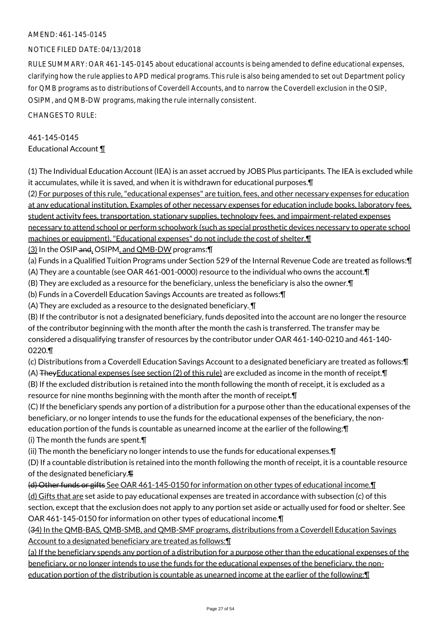## NOTICE FILED DATE: 04/13/2018

RULE SUMMARY: OAR 461-145-0145 about educational accounts is being amended to define educational expenses, clarifying how the rule applies to APD medical programs. This rule is also being amended to set out Department policy for QMB programs as to distributions of Coverdell Accounts, and to narrow the Coverdell exclusion in the OSIP, OSIPM, and QMB-DW programs, making the rule internally consistent.

CHANGES TO RULE:

## 461-145-0145 Educational Account ¶

(1) The Individual Education Account (IEA) is an asset accrued by JOBS Plus participants. The IEA is excluded while it accumulates, while it is saved, and when it is withdrawn for educational purposes.¶

(2) For purposes of this rule, "educational expenses" are tuition, fees, and other necessary expenses for education at any educational institution. Examples of other necessary expenses for education include books, laboratory fees, student activity fees, transportation, stationary supplies, technology fees, and impairment-related expenses necessary to attend school or perform schoolwork (such as special prosthetic devices necessary to operate school machines or equipment). "Educational expenses" do not include the cost of shelter.¶

- (3) In the OSIP and, OSIPM, and QMB-DW programs:¶
- (a) Funds in a Qualified Tuition Programs under Section 529 of the Internal Revenue Code are treated as follows:¶ (A) They are a countable (see OAR 461-001-0000) resource to the individual who owns the account.¶

(B) They are excluded as a resource for the beneficiary, unless the beneficiary is also the owner.¶

- (b) Funds in a Coverdell Education Savings Accounts are treated as follows:¶
- (A) They are excluded as a resource to the designated beneficiary. ¶

(B) If the contributor is not a designated beneficiary, funds deposited into the account are no longer the resource of the contributor beginning with the month after the month the cash is transferred. The transfer may be considered a disqualifying transfer of resources by the contributor under OAR 461-140-0210 and 461-140- 0220.¶

(c) Distributions from a Coverdell Education Savings Account to a designated beneficiary are treated as follows:¶ (A) TheyEducational expenses (see section (2) of this rule) are excluded as income in the month of receipt.¶ (B) If the excluded distribution is retained into the month following the month of receipt, it is excluded as a resource for nine months beginning with the month after the month of receipt.¶

(C) If the beneficiary spends any portion of a distribution for a purpose other than the educational expenses of the beneficiary, or no longer intends to use the funds for the educational expenses of the beneficiary, the noneducation portion of the funds is countable as unearned income at the earlier of the following:¶

(i) The month the funds are spent.¶

(ii) The month the beneficiary no longer intends to use the funds for educational expenses.¶

(D) If a countable distribution is retained into the month following the month of receipt, it is a countable resource of the designated beneficiary.¶

(d) Other funds or gifts See OAR 461-145-0150 for information on other types of educational income.¶ (d) Gifts that are set aside to pay educational expenses are treated in accordance with subsection (c) of this section, except that the exclusion does not apply to any portion set aside or actually used for food or shelter. See OAR 461-145-0150 for information on other types of educational income.¶

(34) In the QMB-BAS, QMB-SMB, and QMB-SMF programs, distributions from a Coverdell Education Savings Account to a designated beneficiary are treated as follows:¶

(a) If the beneficiary spends any portion of a distribution for a purpose other than the educational expenses of the beneficiary, or no longer intends to use the funds for the educational expenses of the beneficiary, the noneducation portion of the distribution is countable as unearned income at the earlier of the following:¶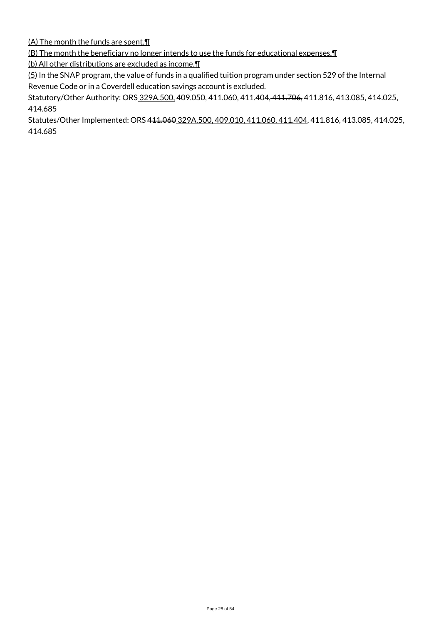(A) The month the funds are spent.¶

(B) The month the beneficiary no longer intends to use the funds for educational expenses.¶

(b) All other distributions are excluded as income.¶

 $(5)$  In the SNAP program, the value of funds in a qualified tuition program under section 529 of the Internal Revenue Code or in a Coverdell education savings account is excluded.

Statutory/Other Authority: ORS 329A.500, 409.050, 411.060, 411.404, 411.706, 411.816, 413.085, 414.025, 414.685

Statutes/Other Implemented: ORS 411.060 329A.500, 409.010, 411.060, 411.404, 411.816, 413.085, 414.025, 414.685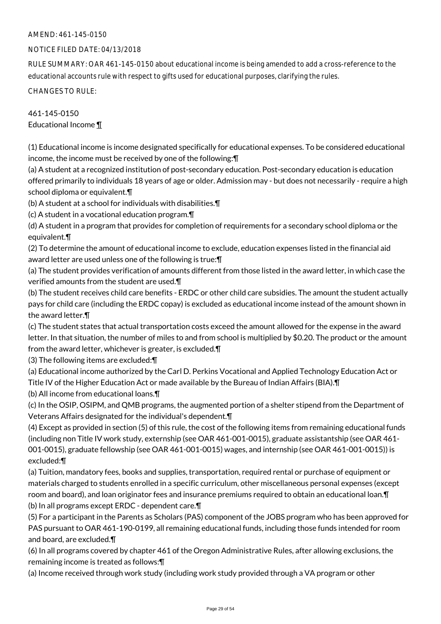## NOTICE FILED DATE: 04/13/2018

RULE SUMMARY: OAR 461-145-0150 about educational income is being amended to add a cross-reference to the educational accounts rule with respect to gifts used for educational purposes, clarifying the rules.

CHANGES TO RULE:

## 461-145-0150 Educational Income ¶

(1) Educational income is income designated specifically for educational expenses. To be considered educational income, the income must be received by one of the following:¶

(a) A student at a recognized institution of post-secondary education. Post-secondary education is education offered primarily to individuals 18 years of age or older. Admission may - but does not necessarily - require a high school diploma or equivalent.¶

(b) A student at a school for individuals with disabilities.¶

(c) A student in a vocational education program.¶

(d) A student in a program that provides for completion of requirements for a secondary school diploma or the equivalent.¶

(2) To determine the amount of educational income to exclude, education expenses listed in the financial aid award letter are used unless one of the following is true:¶

(a) The student provides verification of amounts different from those listed in the award letter, in which case the verified amounts from the student are used.¶

(b) The student receives child care benefits - ERDC or other child care subsidies. The amount the student actually pays for child care (including the ERDC copay) is excluded as educational income instead of the amount shown in the award letter.¶

(c) The student states that actual transportation costs exceed the amount allowed for the expense in the award letter. In that situation, the number of miles to and from school is multiplied by \$0.20. The product or the amount from the award letter, whichever is greater, is excluded.¶

(3) The following items are excluded:¶

(a) Educational income authorized by the Carl D. Perkins Vocational and Applied Technology Education Act or Title IV of the Higher Education Act or made available by the Bureau of Indian Affairs (BIA).¶

(b) All income from educational loans.¶

(c) In the OSIP, OSIPM, and QMB programs, the augmented portion of a shelter stipend from the Department of Veterans Affairs designated for the individual's dependent.¶

(4) Except as provided in section (5) of this rule, the cost of the following items from remaining educational funds (including non Title IV work study, externship (see OAR 461-001-0015), graduate assistantship (see OAR 461- 001-0015), graduate fellowship (see OAR 461-001-0015) wages, and internship (see OAR 461-001-0015)) is excluded:¶

(a) Tuition, mandatory fees, books and supplies, transportation, required rental or purchase of equipment or materials charged to students enrolled in a specific curriculum, other miscellaneous personal expenses (except room and board), and loan originator fees and insurance premiums required to obtain an educational loan.¶ (b) In all programs except ERDC - dependent care.¶

(5) For a participant in the Parents as Scholars (PAS) component of the JOBS program who has been approved for PAS pursuant to OAR 461-190-0199, all remaining educational funds, including those funds intended for room and board, are excluded.¶

(6) In all programs covered by chapter 461 of the Oregon Administrative Rules, after allowing exclusions, the remaining income is treated as follows:¶

(a) Income received through work study (including work study provided through a VA program or other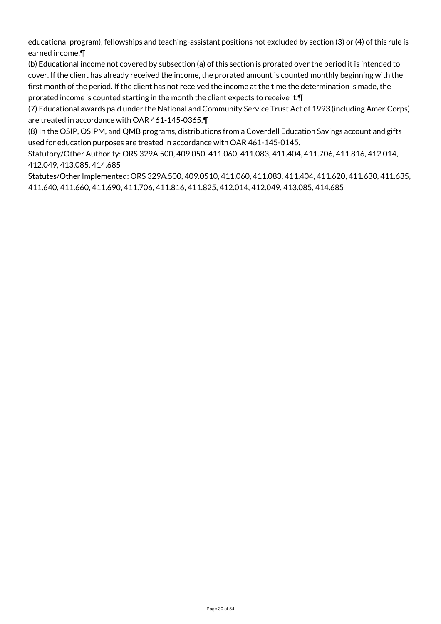educational program), fellowships and teaching-assistant positions not excluded by section (3) or (4) of this rule is earned income.¶

(b) Educational income not covered by subsection (a) of this section is prorated over the period it is intended to cover. If the client has already received the income, the prorated amount is counted monthly beginning with the first month of the period. If the client has not received the income at the time the determination is made, the prorated income is counted starting in the month the client expects to receive it.¶

(7) Educational awards paid under the National and Community Service Trust Act of 1993 (including AmeriCorps) are treated in accordance with OAR 461-145-0365.¶

(8) In the OSIP, OSIPM, and QMB programs, distributions from a Coverdell Education Savings account and gifts used for education purposes are treated in accordance with OAR 461-145-0145.

Statutory/Other Authority: ORS 329A.500, 409.050, 411.060, 411.083, 411.404, 411.706, 411.816, 412.014, 412.049, 413.085, 414.685

Statutes/Other Implemented: ORS 329A.500, 409.0510, 411.060, 411.083, 411.404, 411.620, 411.630, 411.635, 411.640, 411.660, 411.690, 411.706, 411.816, 411.825, 412.014, 412.049, 413.085, 414.685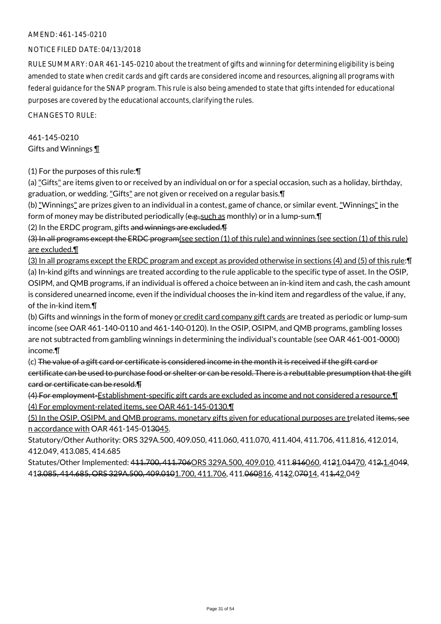## NOTICE FILED DATE: 04/13/2018

RULE SUMMARY: OAR 461-145-0210 about the treatment of gifts and winning for determining eligibility is being amended to state when credit cards and gift cards are considered income and resources, aligning all programs with federal guidance for the SNAP program. This rule is also being amended to state that gifts intended for educational purposes are covered by the educational accounts, clarifying the rules.

CHANGES TO RULE:

461-145-0210 Gifts and Winnings ¶

(1) For the purposes of this rule:¶

(a) "Gifts" are items given to or received by an individual on or for a special occasion, such as a holiday, birthday, graduation, or wedding. "Gifts" are not given or received on a regular basis.¶

(b) "Winnings" are prizes given to an individual in a contest, game of chance, or similar event. "Winnings" in the form of money may be distributed periodically ( $e.g.,$ such as monthly) or in a lump-sum. $\P$ 

(2) In the ERDC program, gifts and winnings are excluded.

(3) In all programs except the ERDC program(see section (1) of this rule) and winnings (see section (1) of this rule) are excluded.¶

(3) In all programs except the ERDC program and except as provided otherwise in sections (4) and (5) of this rule:¶ (a) In-kind gifts and winnings are treated according to the rule applicable to the specific type of asset. In the OSIP, OSIPM, and QMB programs, if an individual is offered a choice between an in-kind item and cash, the cash amount is considered unearned income, even if the individual chooses the in-kind item and regardless of the value, if any, of the in-kind item.¶

(b) Gifts and winnings in the form of money or credit card company gift cards are treated as periodic or lump-sum income (see OAR 461-140-0110 and 461-140-0120). In the OSIP, OSIPM, and QMB programs, gambling losses are not subtracted from gambling winnings in determining the individual's countable (see OAR 461-001-0000) income.¶

(c) The value of a gift card or certificate is considered income in the month it is received if the gift card or certificate can be used to purchase food or shelter or can be resold. There is a rebuttable presumption that the gift card or certificate can be resold.¶

(4) For employment-Establishment-specific gift cards are excluded as income and not considered a resource.¶ (4) For employment-related items, see OAR 461-145-0130.¶

(5) In the OSIP, OSIPM, and QMB programs, monetary gifts given for educational purposes are trelated items, see n accordance with OAR 461-145-013045.

Statutory/Other Authority: ORS 329A.500, 409.050, 411.060, 411.070, 411.404, 411.706, 411.816, 412.014, 412.049, 413.085, 414.685

Statutes/Other Implemented: 411.700, 411.706ORS 329A.500, 409.010, 411.816060, 4121.01470, 412.1.4049, 413.085, 414.685, ORS 329A.500, 409.0101.700, 411.706, 411.060816, 4112.07014, 411.42.049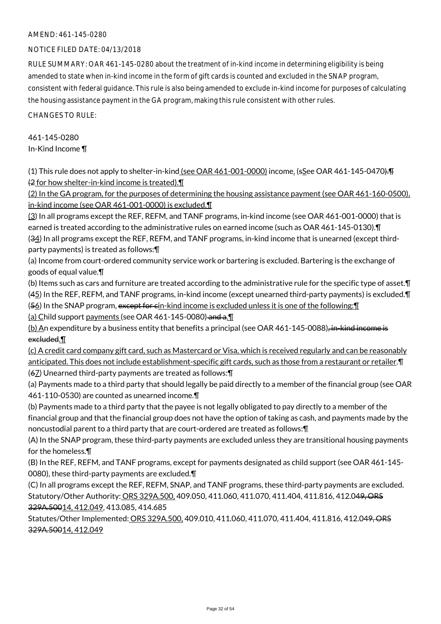## NOTICE FILED DATE: 04/13/2018

RULE SUMMARY: OAR 461-145-0280 about the treatment of in-kind income in determining eligibility is being amended to state when in-kind income in the form of gift cards is counted and excluded in the SNAP program, consistent with federal guidance. This rule is also being amended to exclude in-kind income for purposes of calculating the housing assistance payment in the GA program, making this rule consistent with other rules.

CHANGES TO RULE:

## 461-145-0280 In-Kind Income ¶

(1) This rule does not apply to shelter-in-kind (see OAR 461-001-0000) income. (sSee OAR 461-145-0470).¶ (2 for how shelter-in-kind income is treated).¶

(2) In the GA program, for the purposes of determining the housing assistance payment (see OAR 461-160-0500), in-kind income (see OAR 461-001-0000) is excluded.¶

(3) In all programs except the REF, REFM, and TANF programs, in-kind income (see OAR 461-001-0000) that is earned is treated according to the administrative rules on earned income (such as OAR 461-145-0130).¶ (34) In all programs except the REF, REFM, and TANF programs, in-kind income that is unearned (except thirdparty payments) is treated as follows:¶

(a) Income from court-ordered community service work or bartering is excluded. Bartering is the exchange of goods of equal value.¶

(b) Items such as cars and furniture are treated according to the administrative rule for the specific type of asset.¶ (45) In the REF, REFM, and TANF programs, in-kind income (except unearned third-party payments) is excluded.¶ (56) In the SNAP program, except for cin-kind income is excluded unless it is one of the following:¶

(a) Child support payments (see OAR 461-145-0080) and a.

(b) An expenditure by a business entity that benefits a principal (see OAR 461-145-0088), in-kind income is excluded.¶

(c) A credit card company gift card, such as Mastercard or Visa, which is received regularly and can be reasonably anticipated. This does not include establishment-specific gift cards, such as those from a restaurant or retailer.¶ (67) Unearned third-party payments are treated as follows:¶

(a) Payments made to a third party that should legally be paid directly to a member of the financial group (see OAR 461-110-0530) are counted as unearned income.¶

(b) Payments made to a third party that the payee is not legally obligated to pay directly to a member of the financial group and that the financial group does not have the option of taking as cash, and payments made by the noncustodial parent to a third party that are court-ordered are treated as follows:¶

(A) In the SNAP program, these third-party payments are excluded unless they are transitional housing payments for the homeless.¶

(B) In the REF, REFM, and TANF programs, except for payments designated as child support (see OAR 461-145- 0080), these third-party payments are excluded.¶

(C) In all programs except the REF, REFM, SNAP, and TANF programs, these third-party payments are excluded. Statutory/Other Authority: ORS 329A.500, 409.050, 411.060, 411.070, 411.404, 411.816, 412.049, ORS 329A.50014, 412.049, 413.085, 414.685

Statutes/Other Implemented: ORS 329A.500, 409.010, 411.060, 411.070, 411.404, 411.816, 412.049, ORS 329A.50014, 412.049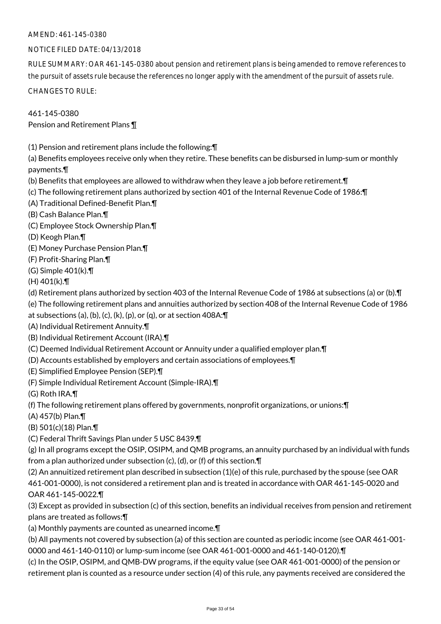## NOTICE FILED DATE: 04/13/2018

RULE SUMMARY: OAR 461-145-0380 about pension and retirement plans is being amended to remove references to the pursuit of assets rule because the references no longer apply with the amendment of the pursuit of assets rule.

CHANGES TO RULE:

461-145-0380 Pension and Retirement Plans ¶

(1) Pension and retirement plans include the following:¶

(a) Benefits employees receive only when they retire. These benefits can be disbursed in lump-sum or monthly payments.¶

- (b) Benefits that employees are allowed to withdraw when they leave a job before retirement.¶
- (c) The following retirement plans authorized by section 401 of the Internal Revenue Code of 1986:¶
- (A) Traditional Defined-Benefit Plan.¶
- (B) Cash Balance Plan.¶
- (C) Employee Stock Ownership Plan.¶
- (D) Keogh Plan.¶
- (E) Money Purchase Pension Plan.¶
- (F) Profit-Sharing Plan.¶
- (G) Simple 401(k).¶
- (H) 401(k).¶
- (d) Retirement plans authorized by section 403 of the Internal Revenue Code of 1986 at subsections (a) or (b).¶
- (e) The following retirement plans and annuities authorized by section 408 of the Internal Revenue Code of 1986
- at subsections (a), (b), (c), (k), (p), or (q), or at section  $408A:\mathbf{T}$
- (A) Individual Retirement Annuity.¶
- (B) Individual Retirement Account (IRA).¶
- (C) Deemed Individual Retirement Account or Annuity under a qualified employer plan.¶
- (D) Accounts established by employers and certain associations of employees.¶
- (E) Simplified Employee Pension (SEP).¶
- (F) Simple Individual Retirement Account (Simple-IRA).¶
- (G) Roth IRA.¶

(f) The following retirement plans offered by governments, nonprofit organizations, or unions:¶

- (A) 457(b) Plan.¶
- (B) 501(c)(18) Plan.¶
- (C) Federal Thrift Savings Plan under 5 USC 8439.¶

(g) In all programs except the OSIP, OSIPM, and QMB programs, an annuity purchased by an individual with funds from a plan authorized under subsection (c), (d), or (f) of this section.¶

(2) An annuitized retirement plan described in subsection (1)(e) of this rule, purchased by the spouse (see OAR 461-001-0000), is not considered a retirement plan and is treated in accordance with OAR 461-145-0020 and OAR 461-145-0022.¶

(3) Except as provided in subsection (c) of this section, benefits an individual receives from pension and retirement plans are treated as follows:¶

(a) Monthly payments are counted as unearned income.¶

(b) All payments not covered by subsection (a) of this section are counted as periodic income (see OAR 461-001- 0000 and 461-140-0110) or lump-sum income (see OAR 461-001-0000 and 461-140-0120).¶

(c) In the OSIP, OSIPM, and QMB-DW programs, if the equity value (see OAR 461-001-0000) of the pension or retirement plan is counted as a resource under section (4) of this rule, any payments received are considered the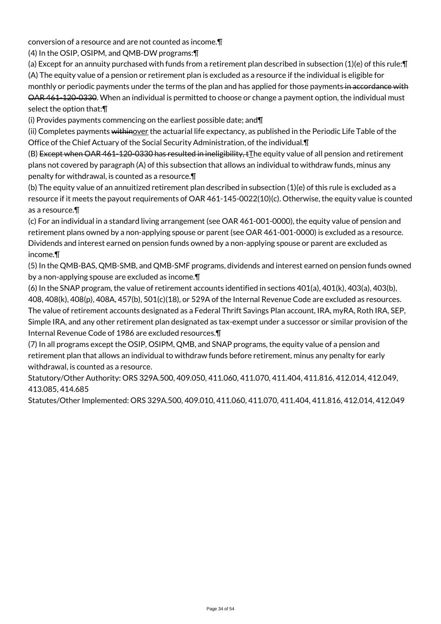conversion of a resource and are not counted as income.¶

(4) In the OSIP, OSIPM, and QMB-DW programs:¶

(a) Except for an annuity purchased with funds from a retirement plan described in subsection (1)(e) of this rule:¶ (A) The equity value of a pension or retirement plan is excluded as a resource if the individual is eligible for monthly or periodic payments under the terms of the plan and has applied for those payments in accordance with OAR 461-120-0330. When an individual is permitted to choose or change a payment option, the individual must select the option that:¶

(i) Provides payments commencing on the earliest possible date; and¶

(ii) Completes payments withinover the actuarial life expectancy, as published in the Periodic Life Table of the Office of the Chief Actuary of the Social Security Administration, of the individual.¶

(B) Except when OAR 461-120-0330 has resulted in ineligibility, tThe equity value of all pension and retirement plans not covered by paragraph (A) of this subsection that allows an individual to withdraw funds, minus any penalty for withdrawal, is counted as a resource.¶

(b) The equity value of an annuitized retirement plan described in subsection (1)(e) of this rule is excluded as a resource if it meets the payout requirements of OAR 461-145-0022(10)(c). Otherwise, the equity value is counted as a resource.¶

(c) For an individual in a standard living arrangement (see OAR 461-001-0000), the equity value of pension and retirement plans owned by a non-applying spouse or parent (see OAR 461-001-0000) is excluded as a resource. Dividends and interest earned on pension funds owned by a non-applying spouse or parent are excluded as income.¶

(5) In the QMB-BAS, QMB-SMB, and QMB-SMF programs, dividends and interest earned on pension funds owned by a non-applying spouse are excluded as income.¶

(6) In the SNAP program, the value of retirement accounts identified in sections 401(a), 401(k), 403(a), 403(b), 408, 408(k), 408(p), 408A, 457(b), 501(c)(18), or 529A of the Internal Revenue Code are excluded as resources. The value of retirement accounts designated as a Federal Thrift Savings Plan account, IRA, myRA, Roth IRA, SEP, Simple IRA, and any other retirement plan designated as tax-exempt under a successor or similar provision of the Internal Revenue Code of 1986 are excluded resources.¶

(7) In all programs except the OSIP, OSIPM, QMB, and SNAP programs, the equity value of a pension and retirement plan that allows an individual to withdraw funds before retirement, minus any penalty for early withdrawal, is counted as a resource.

Statutory/Other Authority: ORS 329A.500, 409.050, 411.060, 411.070, 411.404, 411.816, 412.014, 412.049, 413.085, 414.685

Statutes/Other Implemented: ORS 329A.500, 409.010, 411.060, 411.070, 411.404, 411.816, 412.014, 412.049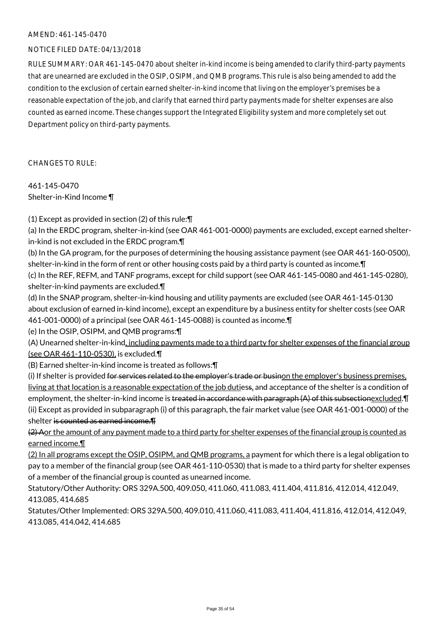## NOTICE FILED DATE: 04/13/2018

RULE SUMMARY: OAR 461-145-0470 about shelter in-kind income is being amended to clarify third-party payments that are unearned are excluded in the OSIP, OSIPM, and QMB programs. This rule is also being amended to add the condition to the exclusion of certain earned shelter-in-kind income that living on the employer's premises be a reasonable expectation of the job, and clarify that earned third party payments made for shelter expenses are also counted as earned income. These changes support the Integrated Eligibility system and more completely set out Department policy on third-party payments.

CHANGES TO RULE:

461-145-0470 Shelter-in-Kind Income ¶

(1) Except as provided in section (2) of this rule:¶

(a) In the ERDC program, shelter-in-kind (see OAR 461-001-0000) payments are excluded, except earned shelterin-kind is not excluded in the ERDC program.¶

(b) In the GA program, for the purposes of determining the housing assistance payment (see OAR 461-160-0500), shelter-in-kind in the form of rent or other housing costs paid by a third party is counted as income.¶

(c) In the REF, REFM, and TANF programs, except for child support (see OAR 461-145-0080 and 461-145-0280), shelter-in-kind payments are excluded.¶

(d) In the SNAP program, shelter-in-kind housing and utility payments are excluded (see OAR 461-145-0130 about exclusion of earned in-kind income), except an expenditure by a business entity for shelter costs (see OAR 461-001-0000) of a principal (see OAR 461-145-0088) is counted as income.¶

(e) In the OSIP, OSIPM, and QMB programs:¶

(A) Unearned shelter-in-kind, including payments made to a third party for shelter expenses of the financial group (see OAR 461-110-0530), is excluded.¶

(B) Earned shelter-in-kind income is treated as follows:¶

(i) If shelter is provided for services related to the employer's trade or businon the employer's business premises, living at that location is a reasonable expectation of the job dutiess, and acceptance of the shelter is a condition of employment, the shelter-in-kind income is treated in accordance with paragraph (A) of this subsectionexcluded. I (ii) Except as provided in subparagraph (i) of this paragraph, the fair market value (see OAR 461-001-0000) of the shelter is counted as earned income.¶

(2) Aor the amount of any payment made to a third party for shelter expenses of the financial group is counted as earned income.¶

(2) In all programs except the OSIP, OSIPM, and QMB programs, a payment for which there is a legal obligation to pay to a member of the financial group (see OAR 461-110-0530) that is made to a third party for shelter expenses of a member of the financial group is counted as unearned income.

Statutory/Other Authority: ORS 329A.500, 409.050, 411.060, 411.083, 411.404, 411.816, 412.014, 412.049, 413.085, 414.685

Statutes/Other Implemented: ORS 329A.500, 409.010, 411.060, 411.083, 411.404, 411.816, 412.014, 412.049, 413.085, 414.042, 414.685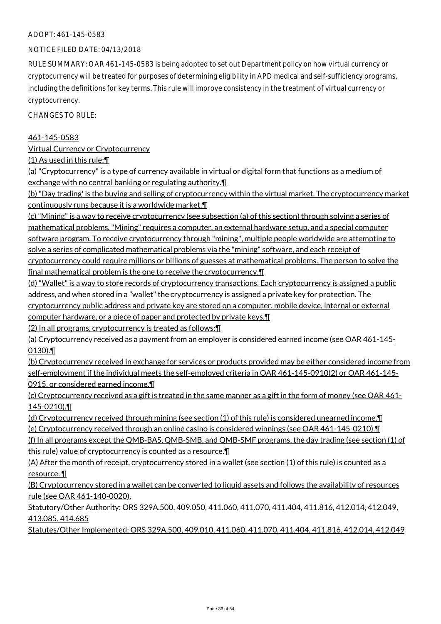## ADOPT: 461-145-0583

## NOTICE FILED DATE: 04/13/2018

RULE SUMMARY: OAR 461-145-0583 is being adopted to set out Department policy on how virtual currency or cryptocurrency will be treated for purposes of determining eligibility in APD medical and self-sufficiency programs, including the definitions for key terms. This rule will improve consistency in the treatment of virtual currency or cryptocurrency.

CHANGES TO RULE:

#### 461-145-0583

Virtual Currency or Cryptocurrency

(1) As used in this rule:¶

(a) "Cryptocurrency" is a type of currency available in virtual or digital form that functions as a medium of exchange with no central banking or regulating authority.¶

(b) "Day trading' is the buying and selling of cryptocurrency within the virtual market. The cryptocurrency market continuously runs because it is a worldwide market.¶

(c) "Mining" is a way to receive cryptocurrency (see subsection (a) of this section) through solving a series of mathematical problems. "Mining" requires a computer, an external hardware setup, and a special computer software program. To receive cryptocurrency through "mining", multiple people worldwide are attempting to solve a series of complicated mathematical problems via the "mining" software, and each receipt of

cryptocurrency could require millions or billions of guesses at mathematical problems. The person to solve the final mathematical problem is the one to receive the cryptocurrency.¶

(d) "Wallet" is a way to store records of cryptocurrency transactions. Each cryptocurrency is assigned a public address, and when stored in a "wallet" the cryptocurrency is assigned a private key for protection. The cryptocurrency public address and private key are stored on a computer, mobile device, internal or external computer hardware, or a piece of paper and protected by private keys.¶

(2) In all programs, cryptocurrency is treated as follows:¶

(a) Cryptocurrency received as a payment from an employer is considered earned income (see OAR 461-145- 0130).¶

(b) Cryptocurrency received in exchange for services or products provided may be either considered income from self-employment if the individual meets the self-employed criteria in OAR 461-145-0910(2) or OAR 461-145- 0915, or considered earned income.¶

(c) Cryptocurrency received as a gift is treated in the same manner as a gift in the form of money (see OAR 461- 145-0210).¶

(d) Cryptocurrency received through mining (see section (1) of this rule) is considered unearned income.¶ (e) Cryptocurrency received through an online casino is considered winnings (see OAR 461-145-0210).¶

(f) In all programs except the QMB-BAS, QMB-SMB, and QMB-SMF programs, the day trading (see section (1) of this rule) value of cryptocurrency is counted as a resource.¶

(A) After the month of receipt, cryptocurrency stored in a wallet (see section (1) of this rule) is counted as a resource. ¶

(B) Cryptocurrency stored in a wallet can be converted to liquid assets and follows the availability of resources rule (see OAR 461-140-0020).

Statutory/Other Authority: ORS 329A.500, 409.050, 411.060, 411.070, 411.404, 411.816, 412.014, 412.049, 413.085, 414.685

Statutes/Other Implemented: ORS 329A.500, 409.010, 411.060, 411.070, 411.404, 411.816, 412.014, 412.049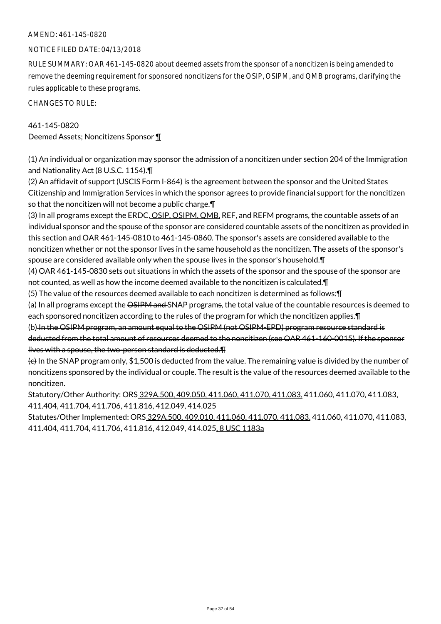## NOTICE FILED DATE: 04/13/2018

RULE SUMMARY: OAR 461-145-0820 about deemed assets from the sponsor of a noncitizen is being amended to remove the deeming requirement for sponsored noncitizens for the OSIP, OSIPM, and QMB programs, clarifying the rules applicable to these programs.

CHANGES TO RULE:

## 461-145-0820

Deemed Assets; Noncitizens Sponsor ¶

(1) An individual or organization may sponsor the admission of a noncitizen under section 204 of the Immigration and Nationality Act (8 U.S.C. 1154).¶

(2) An affidavit of support (USCIS Form I-864) is the agreement between the sponsor and the United States Citizenship and Immigration Services in which the sponsor agrees to provide financial support for the noncitizen so that the noncitizen will not become a public charge.¶

(3) In all programs except the ERDC, OSIP, OSIPM, QMB, REF, and REFM programs, the countable assets of an individual sponsor and the spouse of the sponsor are considered countable assets of the noncitizen as provided in this section and OAR 461-145-0810 to 461-145-0860. The sponsor's assets are considered available to the noncitizen whether or not the sponsor lives in the same household as the noncitizen. The assets of the sponsor's spouse are considered available only when the spouse lives in the sponsor's household.¶

(4) OAR 461-145-0830 sets out situations in which the assets of the sponsor and the spouse of the sponsor are not counted, as well as how the income deemed available to the noncitizen is calculated.¶

(5) The value of the resources deemed available to each noncitizen is determined as follows:¶

(a) In all programs except the OSIPM and SNAP programs, the total value of the countable resources is deemed to each sponsored noncitizen according to the rules of the program for which the noncitizen applies. [1]

(b) In the OSIPM program, an amount equal to the OSIPM (not OSIPM-EPD) program resource standard is deducted from the total amount of resources deemed to the noncitizen (see OAR 461-160-0015). If the sponsor lives with a spouse, the two-person standard is deducted.¶

 $\left\{e\right\}$  In the SNAP program only, \$1,500 is deducted from the value. The remaining value is divided by the number of noncitizens sponsored by the individual or couple. The result is the value of the resources deemed available to the noncitizen.

Statutory/Other Authority: ORS 329A.500, 409.050, 411.060, 411.070, 411.083, 411.060, 411.070, 411.083, 411.404, 411.704, 411.706, 411.816, 412.049, 414.025

Statutes/Other Implemented: ORS 329A.500, 409.010, 411.060, 411.070, 411.083, 411.060, 411.070, 411.083, 411.404, 411.704, 411.706, 411.816, 412.049, 414.025, 8 USC 1183a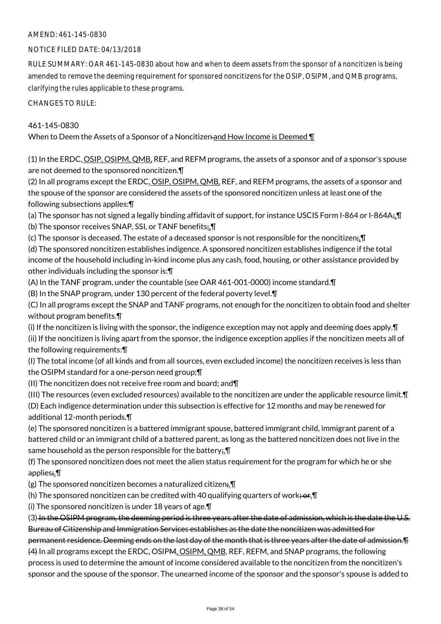## NOTICE FILED DATE: 04/13/2018

RULE SUMMARY: OAR 461-145-0830 about how and when to deem assets from the sponsor of a noncitizen is being amended to remove the deeming requirement for sponsored noncitizens for the OSIP, OSIPM, and QMB programs, clarifying the rules applicable to these programs.

CHANGES TO RULE:

## 461-145-0830

When to Deem the Assets of a Sponsor of a Noncitizen and How Income is Deemed ¶

(1) In the ERDC, OSIP, OSIPM, QMB, REF, and REFM programs, the assets of a sponsor and of a sponsor's spouse are not deemed to the sponsored noncitizen.¶

(2) In all programs except the ERDC, OSIP, OSIPM, QMB, REF, and REFM programs, the assets of a sponsor and the spouse of the sponsor are considered the assets of the sponsored noncitizen unless at least one of the following subsections applies:¶

(a) The sponsor has not signed a legally binding affidavit of support, for instance USCIS Form I-864 or I-864A<sub>7</sub>. (b) The sponsor receives SNAP, SSI, or TANF benefits;.¶

(c) The sponsor is deceased. The estate of a deceased sponsor is not responsible for the noncitizen;.  $\P$ 

(d) The sponsored noncitizen establishes indigence. A sponsored noncitizen establishes indigence if the total income of the household including in-kind income plus any cash, food, housing, or other assistance provided by other individuals including the sponsor is:¶

(A) In the TANF program, under the countable (see OAR 461-001-0000) income standard.¶

(B) In the SNAP program, under 130 percent of the federal poverty level.¶

(C) In all programs except the SNAP and TANF programs, not enough for the noncitizen to obtain food and shelter without program benefits.¶

(i) If the noncitizen is living with the sponsor, the indigence exception may not apply and deeming does apply.¶ (ii) If the noncitizen is living apart from the sponsor, the indigence exception applies if the noncitizen meets all of the following requirements:¶

(I) The total income (of all kinds and from all sources, even excluded income) the noncitizen receives is less than the OSIPM standard for a one-person need group;¶

(II) The noncitizen does not receive free room and board; and¶

(III) The resources (even excluded resources) available to the noncitizen are under the applicable resource limit.¶

(D) Each indigence determination under this subsection is effective for 12 months and may be renewed for additional 12-month periods.¶

(e) The sponsored noncitizen is a battered immigrant spouse, battered immigrant child, immigrant parent of a battered child or an immigrant child of a battered parent, as long as the battered noncitizen does not live in the same household as the person responsible for the battery. I

(f) The sponsored noncitizen does not meet the alien status requirement for the program for which he or she applies;.¶

(g) The sponsored noncitizen becomes a naturalized citizen;  $\P$ 

(h) The sponsored noncitizen can be credited with 40 qualifying quarters of work;  $or$ . If

(i) The sponsored noncitizen is under 18 years of age.¶

(3) In the OSIPM program, the deeming period is three years after the date of admission, which is the date the U.S. Bureau of Citizenship and Immigration Services establishes as the date the noncitizen was admitted for

permanent residence. Deeming ends on the last day of the month that is three years after the date of admission.¶ (4) In all programs except the ERDC, OSIPM, OSIPM, QMB, REF, REFM, and SNAP programs, the following process is used to determine the amount of income considered available to the noncitizen from the noncitizen's sponsor and the spouse of the sponsor. The unearned income of the sponsor and the sponsor's spouse is added to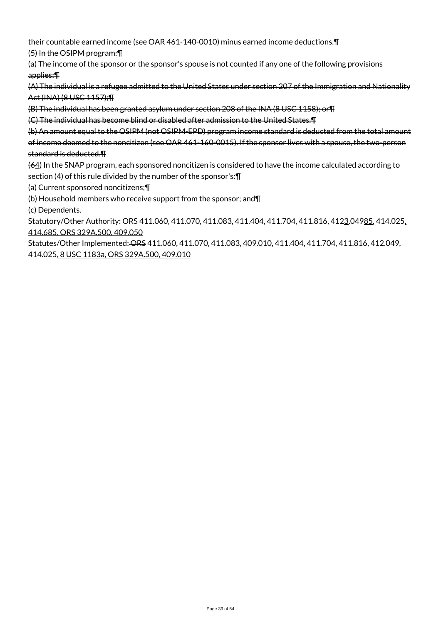their countable earned income (see OAR 461-140-0010) minus earned income deductions.¶

(5) In the OSIPM program:¶

(a) The income of the sponsor or the sponsor's spouse is not counted if any one of the following provisions applies:¶

(A) The individual is a refugee admitted to the United States under section 207 of the Immigration and Nationality Act (INA) (8 USC 1157);¶

(B) The individual has been granted asylum under section 208 of the INA (8 USC 1158); or¶

(C) The individual has become blind or disabled after admission to the United States.¶

(b) An amount equal to the OSIPM (not OSIPM-EPD) program income standard is deducted from the total amount of income deemed to the noncitizen (see OAR 461-160-0015). If the sponsor lives with a spouse, the two-person standard is deducted.¶

(64) In the SNAP program, each sponsored noncitizen is considered to have the income calculated according to section (4) of this rule divided by the number of the sponsor's:¶

(a) Current sponsored noncitizens;¶

- (b) Household members who receive support from the sponsor; and¶
- (c) Dependents.

Statutory/Other Authority: ORS 411.060, 411.070, 411.083, 411.404, 411.704, 411.816, 4123.04985, 414.025, 414.685, ORS 329A.500, 409.050

Statutes/Other Implemented: ORS 411.060, 411.070, 411.083, 409.010, 411.404, 411.704, 411.816, 412.049, 414.025, 8 USC 1183a, ORS 329A.500, 409.010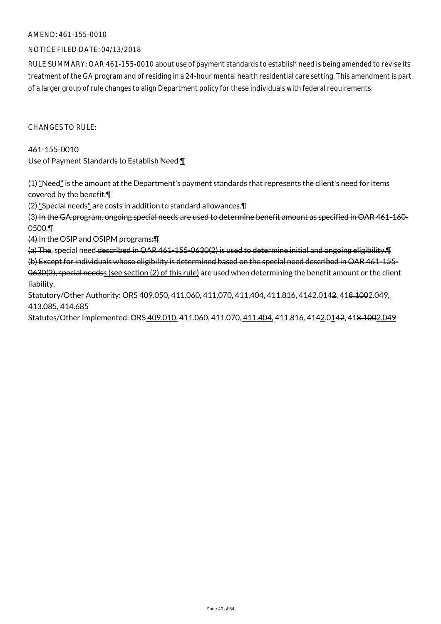## NOTICE FILED DATE: 04/13/2018

RULE SUMMARY: OAR 461-155-0010 about use of payment standards to establish need is being amended to revise its treatment of the GA program and of residing in a 24-hour mental health residential care setting. This amendment is part of a larger group of rule changes to align Department policy for these individuals with federal requirements.

 $CHANGFS TO RIIF$ 

461-155-0010 Use of Payment Standards to Establish Need ¶

(1) "Need" is the amount at the Department's payment standards that represents the client's need for items covered by the benefit.¶

(2) "Special needs" are costs in addition to standard allowances.¶

(3) In the GA program, ongoing special needs are used to determine benefit amount as specified in OAR 461-160- 0500.¶

(4) In the OSIP and OSIPM programs:¶

(a) The, special need described in OAR 461-155-0630(2) is used to determine initial and ongoing eligibility.¶ (b) Except for individuals whose eligibility is determined based on the special need described in OAR 461-155- 0630(2), special needss (see section (2) of this rule) are used when determining the benefit amount or the client liability.

Statutory/Other Authority: ORS 409.050, 411.060, 411.070, 411.404, 411.816, 4142.0142, 418.1002.049, 413.085, 414.685

Statutes/Other Implemented: ORS 409.010, 411.060, 411.070, 411.404, 411.816, 4142.0142, 418.1002.049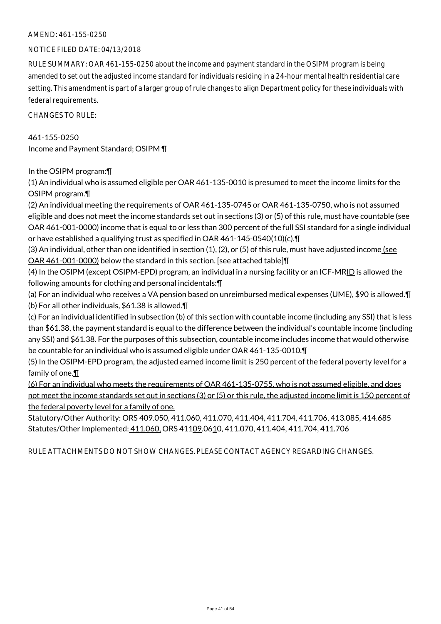## NOTICE FILED DATE: 04/13/2018

RULE SUMMARY: OAR 461-155-0250 about the income and payment standard in the OSIPM program is being amended to set out the adjusted income standard for individuals residing in a 24-hour mental health residential care setting. This amendment is part of a larger group of rule changes to align Department policy for these individuals with federal requirements.

CHANGES TO RULE:

461-155-0250 Income and Payment Standard; OSIPM ¶

## In the OSIPM program:¶

(1) An individual who is assumed eligible per OAR 461-135-0010 is presumed to meet the income limits for the OSIPM program.¶

(2) An individual meeting the requirements of OAR 461-135-0745 or OAR 461-135-0750, who is not assumed eligible and does not meet the income standards set out in sections (3) or (5) of this rule, must have countable (see OAR 461-001-0000) income that is equal to or less than 300 percent of the full SSI standard for a single individual or have established a qualifying trust as specified in OAR 461-145-0540(10)(c).¶

(3) An individual, other than one identified in section (1), (2), or (5) of this rule, must have adjusted income (see OAR 461-001-0000) below the standard in this section. [see attached table]¶

(4) In the OSIPM (except OSIPM-EPD) program, an individual in a nursing facility or an ICF-MRID is allowed the following amounts for clothing and personal incidentals:¶

(a) For an individual who receives a VA pension based on unreimbursed medical expenses (UME), \$90 is allowed.¶ (b) For all other individuals, \$61.38 is allowed.¶

(c) For an individual identified in subsection (b) of this section with countable income (including any SSI) that is less than \$61.38, the payment standard is equal to the difference between the individual's countable income (including any SSI) and \$61.38. For the purposes of this subsection, countable income includes income that would otherwise be countable for an individual who is assumed eligible under OAR 461-135-0010.¶

(5) In the OSIPM-EPD program, the adjusted earned income limit is 250 percent of the federal poverty level for a family of one.¶

(6) For an individual who meets the requirements of OAR 461-135-0755, who is not assumed eligible, and does not meet the income standards set out in sections (3) or (5) or this rule, the adjusted income limit is 150 percent of the federal poverty level for a family of one.

Statutory/Other Authority: ORS 409.050, 411.060, 411.070, 411.404, 411.704, 411.706, 413.085, 414.685 Statutes/Other Implemented: 411.060, ORS 41109.0610, 411.070, 411.404, 411.704, 411.706

RULE ATTACHMENTS DO NOT SHOW CHANGES. PLEASE CONTACT AGENCY REGARDING CHANGES.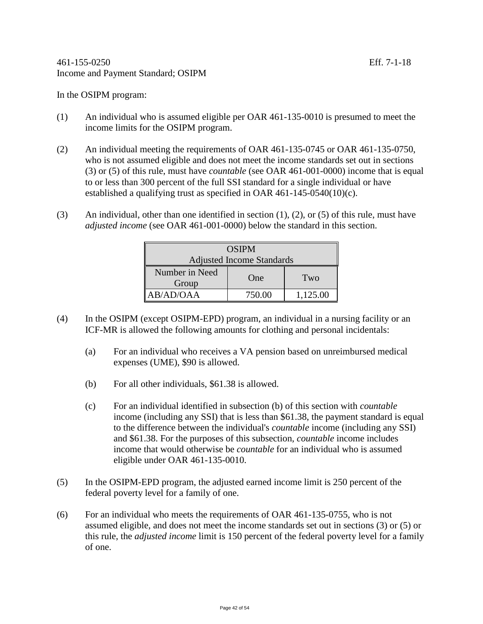In the OSIPM program:

- (1) An individual who is assumed eligible per OAR 461-135-0010 is presumed to meet the income limits for the OSIPM program.
- (2) An individual meeting the requirements of OAR 461-135-0745 or OAR 461-135-0750, who is not assumed eligible and does not meet the income standards set out in sections (3) or (5) of this rule, must have *countable* (see OAR 461-001-0000) income that is equal to or less than 300 percent of the full SSI standard for a single individual or have established a qualifying trust as specified in OAR 461-145-0540(10)(c).
- (3) An individual, other than one identified in section (1), (2), or (5) of this rule, must have *adjusted income* (see OAR 461-001-0000) below the standard in this section.

| <b>OSIPM</b>                     |        |          |
|----------------------------------|--------|----------|
| <b>Adjusted Income Standards</b> |        |          |
| Number in Need<br>Group          | One    | Two      |
| AB/AD/OAA                        | 750.00 | 1,125.00 |

- (4) In the OSIPM (except OSIPM-EPD) program, an individual in a nursing facility or an ICF-MR is allowed the following amounts for clothing and personal incidentals:
	- (a) For an individual who receives a VA pension based on unreimbursed medical expenses (UME), \$90 is allowed.
	- (b) For all other individuals, \$61.38 is allowed.
	- (c) For an individual identified in subsection (b) of this section with *countable* income (including any SSI) that is less than \$61.38, the payment standard is equal to the difference between the individual's *countable* income (including any SSI) and \$61.38. For the purposes of this subsection, *countable* income includes income that would otherwise be *countable* for an individual who is assumed eligible under OAR 461-135-0010.
- (5) In the OSIPM-EPD program, the adjusted earned income limit is 250 percent of the federal poverty level for a family of one.
- (6) For an individual who meets the requirements of OAR 461-135-0755, who is not assumed eligible, and does not meet the income standards set out in sections (3) or (5) or this rule, the *adjusted income* limit is 150 percent of the federal poverty level for a family of one.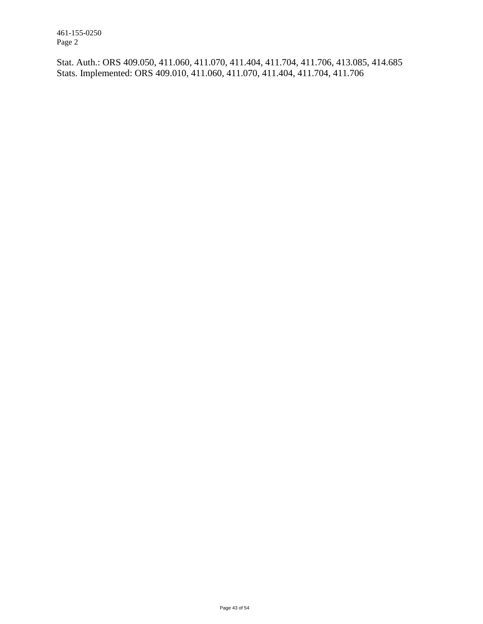461-155-0250 Page 2

Stat. Auth.: ORS 409.050, 411.060, 411.070, 411.404, 411.704, 411.706, 413.085, 414.685 Stats. Implemented: ORS 409.010, 411.060, 411.070, 411.404, 411.704, 411.706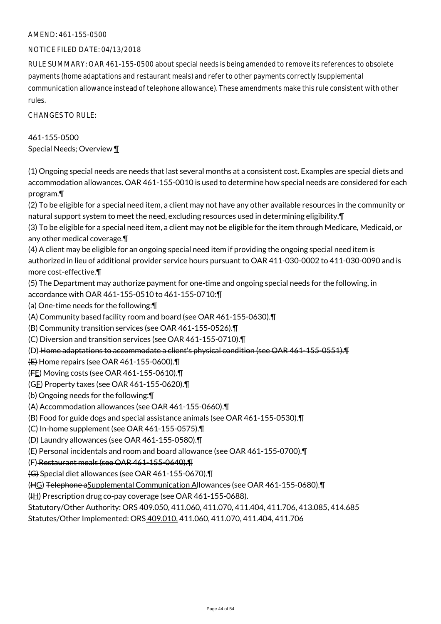## NOTICE FILED DATE: 04/13/2018

RULE SUMMARY: OAR 461-155-0500 about special needs is being amended to remove its references to obsolete payments (home adaptations and restaurant meals) and refer to other payments correctly (supplemental communication allowance instead of telephone allowance). These amendments make this rule consistent with other rules.

CHANGES TO RULE:

461-155-0500 Special Needs; Overview ¶

(1) Ongoing special needs are needs that last several months at a consistent cost. Examples are special diets and accommodation allowances. OAR 461-155-0010 is used to determine how special needs are considered for each program.¶

(2) To be eligible for a special need item, a client may not have any other available resources in the community or natural support system to meet the need, excluding resources used in determining eligibility.¶

(3) To be eligible for a special need item, a client may not be eligible for the item through Medicare, Medicaid, or any other medical coverage.¶

(4) A client may be eligible for an ongoing special need item if providing the ongoing special need item is authorized in lieu of additional provider service hours pursuant to OAR 411-030-0002 to 411-030-0090 and is more cost-effective.¶

(5) The Department may authorize payment for one-time and ongoing special needs for the following, in accordance with OAR 461-155-0510 to 461-155-0710:¶

(a) One-time needs for the following:¶

(A) Community based facility room and board (see OAR 461-155-0630).¶

(B) Community transition services (see OAR 461-155-0526).¶

(C) Diversion and transition services (see OAR 461-155-0710).¶

(D) Home adaptations to accommodate a client's physical condition (see OAR 461-155-0551).¶

(E) Home repairs (see OAR 461-155-0600).¶

(FE) Moving costs (see OAR 461-155-0610).¶

(GF) Property taxes (see OAR 461-155-0620).¶

(b) Ongoing needs for the following:¶

(A) Accommodation allowances (see OAR 461-155-0660).¶

(B) Food for guide dogs and special assistance animals (see OAR 461-155-0530).¶

(C) In-home supplement (see OAR 461-155-0575).¶

(D) Laundry allowances (see OAR 461-155-0580).¶

(E) Personal incidentals and room and board allowance (see OAR 461-155-0700).¶

#### (F) Restaurant meals (see OAR 461-155-0640).¶

(G) Special diet allowances (see OAR 461-155-0670).¶

(HG) Telephone aSupplemental Communication Allowances (see OAR 461-155-0680).¶

 $(H)$  Prescription drug co-pay coverage (see OAR 461-155-0688).

Statutory/Other Authority: ORS 409.050, 411.060, 411.070, 411.404, 411.706, 413.085, 414.685

Statutes/Other Implemented: ORS 409.010, 411.060, 411.070, 411.404, 411.706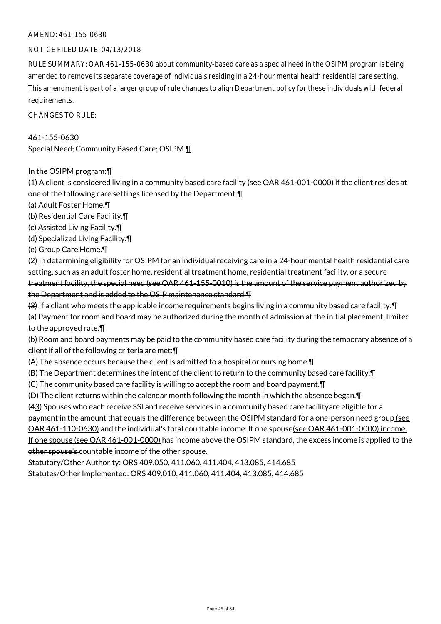## NOTICE FILED DATE: 04/13/2018

RULE SUMMARY: OAR 461-155-0630 about community-based care as a special need in the OSIPM program is being amended to remove its separate coverage of individuals residing in a 24-hour mental health residential care setting. This amendment is part of a larger group of rule changes to align Department policy for these individuals with federal requirements.

CHANGES TO RULE:

461-155-0630 Special Need; Community Based Care; OSIPM ¶

In the OSIPM program:¶

(1) A client is considered living in a community based care facility (see OAR 461-001-0000) if the client resides at one of the following care settings licensed by the Department:¶

- (a) Adult Foster Home.¶
- (b) Residential Care Facility.¶
- (c) Assisted Living Facility.¶
- (d) Specialized Living Facility.¶
- (e) Group Care Home.¶

(2) In determining eligibility for OSIPM for an individual receiving care in a 24-hour mental health residential care setting, such as an adult foster home, residential treatment home, residential treatment facility, or a secure treatment facility, the special need (see OAR 461-155-0010) is the amount of the service payment authorized by the Department and is added to the OSIP maintenance standard.¶

(3) If a client who meets the applicable income requirements begins living in a community based care facility:¶

(a) Payment for room and board may be authorized during the month of admission at the initial placement, limited to the approved rate.¶

(b) Room and board payments may be paid to the community based care facility during the temporary absence of a client if all of the following criteria are met:¶

(A) The absence occurs because the client is admitted to a hospital or nursing home.¶

(B) The Department determines the intent of the client to return to the community based care facility.¶

(C) The community based care facility is willing to accept the room and board payment.¶

(D) The client returns within the calendar month following the month in which the absence began.¶

(43) Spouses who each receive SSI and receive services in a community based care facilityare eligible for a payment in the amount that equals the difference between the OSIPM standard for a one-person need group (see OAR 461-110-0630) and the individual's total countable income. If one spouse(see OAR 461-001-0000) income. If one spouse (see OAR 461-001-0000) has income above the OSIPM standard, the excess income is applied to the other spouse's countable income of the other spouse.

Statutory/Other Authority: ORS 409.050, 411.060, 411.404, 413.085, 414.685 Statutes/Other Implemented: ORS 409.010, 411.060, 411.404, 413.085, 414.685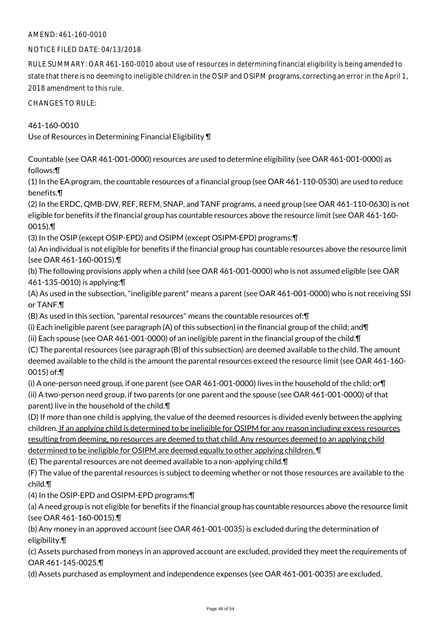## NOTICE FILED DATE: 04/13/2018

RULE SUMMARY: OAR 461-160-0010 about use of resources in determining financial eligibility is being amended to state that there is no deeming to ineligible children in the OSIP and OSIPM programs, correcting an error in the April 1, 2018 amendment to this rule.

CHANGES TO RULE:

461-160-0010 Use of Resources in Determining Financial Eligibility ¶

Countable (see OAR 461-001-0000) resources are used to determine eligibility (see OAR 461-001-0000) as follows:¶

(1) In the EA program, the countable resources of a financial group (see OAR 461-110-0530) are used to reduce benefits.¶

(2) In the ERDC, QMB-DW, REF, REFM, SNAP, and TANF programs, a need group (see OAR 461-110-0630) is not eligible for benefits if the financial group has countable resources above the resource limit (see OAR 461-160- 0015).¶

(3) In the OSIP (except OSIP-EPD) and OSIPM (except OSIPM-EPD) programs:¶

(a) An individual is not eligible for benefits if the financial group has countable resources above the resource limit (see OAR 461-160-0015).¶

(b) The following provisions apply when a child (see OAR 461-001-0000) who is not assumed eligible (see OAR 461-135-0010) is applying:¶

(A) As used in the subsection, "ineligible parent" means a parent (see OAR 461-001-0000) who is not receiving SSI or TANF.¶

(B) As used in this section, "parental resources" means the countable resources of:¶

(i) Each ineligible parent (see paragraph (A) of this subsection) in the financial group of the child; and¶

(ii) Each spouse (see OAR 461-001-0000) of an ineligible parent in the financial group of the child.¶

(C) The parental resources (see paragraph (B) of this subsection) are deemed available to the child. The amount deemed available to the child is the amount the parental resources exceed the resource limit (see OAR 461-160- 0015) of:¶

(i) A one-person need group, if one parent (see OAR 461-001-0000) lives in the household of the child; or¶ (ii) A two-person need group, if two parents (or one parent and the spouse (see OAR 461-001-0000) of that parent) live in the household of the child.¶

(D) If more than one child is applying, the value of the deemed resources is divided evenly between the applying children. If an applying child is determined to be ineligible for OSIPM for any reason including excess resources resulting from deeming, no resources are deemed to that child. Any resources deemed to an applying child determined to be ineligible for OSIPM are deemed equally to other applying children. ¶

(E) The parental resources are not deemed available to a non-applying child.¶

(F) The value of the parental resources is subject to deeming whether or not those resources are available to the child.¶

(4) In the OSIP-EPD and OSIPM-EPD programs:¶

(a) A need group is not eligible for benefits if the financial group has countable resources above the resource limit (see OAR 461-160-0015).¶

(b) Any money in an approved account (see OAR 461-001-0035) is excluded during the determination of eligibility.¶

(c) Assets purchased from moneys in an approved account are excluded, provided they meet the requirements of OAR 461-145-0025.¶

(d) Assets purchased as employment and independence expenses (see OAR 461-001-0035) are excluded,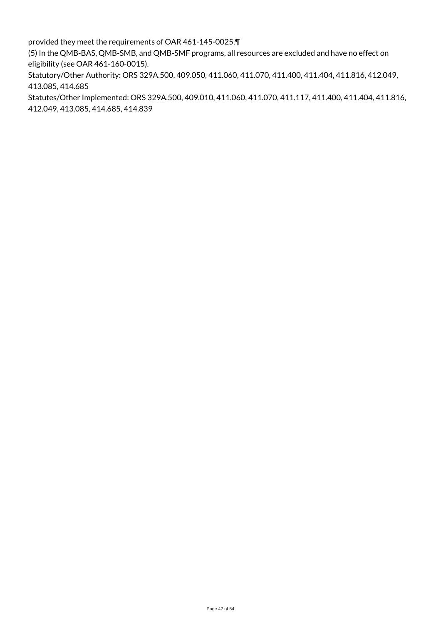provided they meet the requirements of OAR 461-145-0025.¶

(5) In the QMB-BAS, QMB-SMB, and QMB-SMF programs, all resources are excluded and have no effect on eligibility (see OAR 461-160-0015).

Statutory/Other Authority: ORS 329A.500, 409.050, 411.060, 411.070, 411.400, 411.404, 411.816, 412.049, 413.085, 414.685

Statutes/Other Implemented: ORS 329A.500, 409.010, 411.060, 411.070, 411.117, 411.400, 411.404, 411.816, 412.049, 413.085, 414.685, 414.839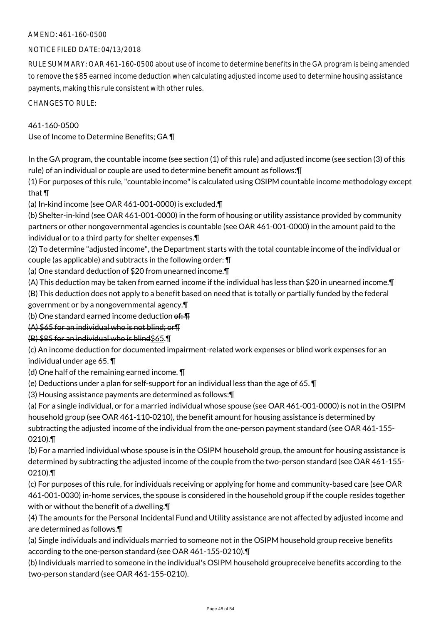## NOTICE FILED DATE: 04/13/2018

RULE SUMMARY: OAR 461-160-0500 about use of income to determine benefits in the GA program is being amended to remove the \$85 earned income deduction when calculating adjusted income used to determine housing assistance payments, making this rule consistent with other rules.

CHANGES TO RULE:

## 461-160-0500

Use of Income to Determine Benefits; GA ¶

In the GA program, the countable income (see section (1) of this rule) and adjusted income (see section (3) of this rule) of an individual or couple are used to determine benefit amount as follows:¶

(1) For purposes of this rule, "countable income" is calculated using OSIPM countable income methodology except that ¶

(a) In-kind income (see OAR 461-001-0000) is excluded.¶

(b) Shelter-in-kind (see OAR 461-001-0000) in the form of housing or utility assistance provided by community partners or other nongovernmental agencies is countable (see OAR 461-001-0000) in the amount paid to the individual or to a third party for shelter expenses.¶

(2) To determine "adjusted income", the Department starts with the total countable income of the individual or couple (as applicable) and subtracts in the following order: ¶

(a) One standard deduction of \$20 from unearned income.¶

(A) This deduction may be taken from earned income if the individual has less than \$20 in unearned income.¶

(B) This deduction does not apply to a benefit based on need that is totally or partially funded by the federal government or by a nongovernmental agency.¶

(b) One standard earned income deduction  $\theta$ :  $\text{T}$ 

(A) \$65 for an individual who is not blind; or¶

## (B) \$85 for an individual who is blind\$65.¶

(c) An income deduction for documented impairment-related work expenses or blind work expenses for an

individual under age 65. ¶

(d) One half of the remaining earned income. ¶

(e) Deductions under a plan for self-support for an individual less than the age of 65. ¶

(3) Housing assistance payments are determined as follows:¶

(a) For a single individual, or for a married individual whose spouse (see OAR 461-001-0000) is not in the OSIPM household group (see OAR 461-110-0210), the benefit amount for housing assistance is determined by subtracting the adjusted income of the individual from the one-person payment standard (see OAR 461-155- 0210).¶

(b) For a married individual whose spouse is in the OSIPM household group, the amount for housing assistance is determined by subtracting the adjusted income of the couple from the two-person standard (see OAR 461-155- 0210).¶

(c) For purposes of this rule, for individuals receiving or applying for home and community-based care (see OAR 461-001-0030) in-home services, the spouse is considered in the household group if the couple resides together with or without the benefit of a dwelling.¶

(4) The amounts for the Personal Incidental Fund and Utility assistance are not affected by adjusted income and are determined as follows.¶

(a) Single individuals and individuals married to someone not in the OSIPM household group receive benefits according to the one-person standard (see OAR 461-155-0210).¶

(b) Individuals married to someone in the individual's OSIPM household groupreceive benefits according to the two-person standard (see OAR 461-155-0210).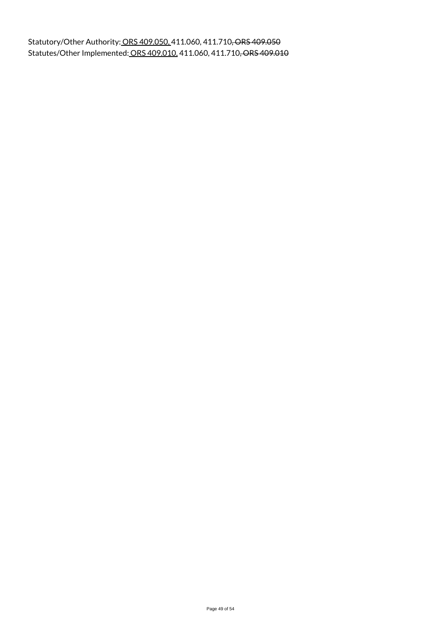Statutory/Other Authority: ORS 409.050, 411.060, 411.710, ORS 409.050 Statutes/Other Implemented: ORS 409.010, 411.060, 411.710, ORS 409.010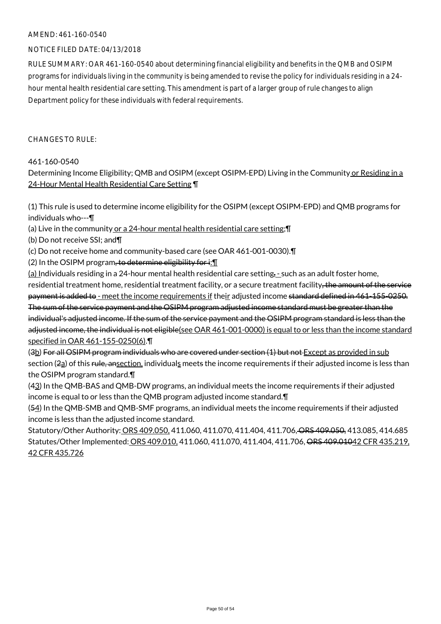## NOTICE FILED DATE: 04/13/2018

RULE SUMMARY: OAR 461-160-0540 about determining financial eligibility and benefits in the QMB and OSIPM programs for individuals living in the community is being amended to revise the policy for individuals residing in a 24 hour mental health residential care setting. This amendment is part of a larger group of rule changes to align Department policy for these individuals with federal requirements.

CHANGES TO RULE:

## 461-160-0540

Determining Income Eligibility; QMB and OSIPM (except OSIPM-EPD) Living in the Community or Residing in a 24-Hour Mental Health Residential Care Setting ¶

(1) This rule is used to determine income eligibility for the OSIPM (except OSIPM-EPD) and QMB programs for individuals who---¶

(a) Live in the community or a 24-hour mental health residential care setting;¶

(b) Do not receive SSI; and¶

(c) Do not receive home and community-based care (see OAR 461-001-0030).¶

(2) In the OSIPM program, to determine eligibility for  $\mathbf{i}$ :  $\mathbf{I}$ 

(a) Individuals residing in a 24-hour mental health residential care setting,  $\overline{\phantom{a}}$  such as an adult foster home, residential treatment home, residential treatment facility, or a secure treatment facility, the amount of the service payment is added to - meet the income requirements if their adjusted income standard defined in 461-155-0250. The sum of the service payment and the OSIPM program adjusted income standard must be greater than the individual's adjusted income. If the sum of the service payment and the OSIPM program standard is less than the adjusted income, the individual is not eligible(see OAR 461-001-0000) is equal to or less than the income standard specified in OAR 461-155-0250(6).¶

(3b) For all OSIPM program individuals who are covered under section (1) but not Except as provided in sub section  $(2a)$  of this rule, ansection, individuals meets the income requirements if their adjusted income is less than the OSIPM program standard.¶

(43) In the QMB-BAS and QMB-DW programs, an individual meets the income requirements if their adjusted income is equal to or less than the QMB program adjusted income standard.¶

(54) In the QMB-SMB and QMB-SMF programs, an individual meets the income requirements if their adjusted income is less than the adjusted income standard.

Statutory/Other Authority: ORS 409.050, 411.060, 411.070, 411.404, 411.706, ORS 409.050, 413.085, 414.685 Statutes/Other Implemented: ORS 409.010, 411.060, 411.070, 411.404, 411.706, ORS 409.01042 CFR 435.219, 42 CFR 435.726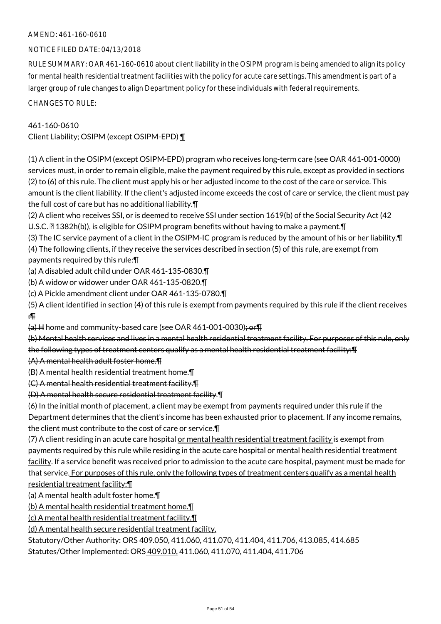## NOTICE FILED DATE: 04/13/2018

RULE SUMMARY: OAR 461-160-0610 about client liability in the OSIPM program is being amended to align its policy for mental health residential treatment facilities with the policy for acute care settings. This amendment is part of a larger group of rule changes to align Department policy for these individuals with federal requirements.

CHANGES TO RULE:

## 461-160-0610

Client Liability; OSIPM (except OSIPM-EPD) ¶

(1) A client in the OSIPM (except OSIPM-EPD) program who receives long-term care (see OAR 461-001-0000) services must, in order to remain eligible, make the payment required by this rule, except as provided in sections (2) to (6) of this rule. The client must apply his or her adjusted income to the cost of the care or service. This amount is the client liability. If the client's adjusted income exceeds the cost of care or service, the client must pay the full cost of care but has no additional liability.¶

(2) A client who receives SSI, or is deemed to receive SSI under section 1619(b) of the Social Security Act (42

U.S.C.  $\mathbb{Z}$  1382h(b)), is eligible for OSIPM program benefits without having to make a payment.  $\P$ 

(3) The IC service payment of a client in the OSIPM-IC program is reduced by the amount of his or her liability.¶ (4) The following clients, if they receive the services described in section (5) of this rule, are exempt from payments required by this rule:¶

(a) A disabled adult child under OAR 461-135-0830.¶

- (b) A widow or widower under OAR 461-135-0820.¶
- (c) A Pickle amendment client under OAR 461-135-0780.¶

(5) A client identified in section (4) of this rule is exempt from payments required by this rule if the client receives :¶

 $(a)$  H home and community-based care (see OAR 461-001-0030); or  $\P$ 

(b) Mental health services and lives in a mental health residential treatment facility. For purposes of this rule, only the following types of treatment centers qualify as a mental health residential treatment facility:¶

(A) A mental health adult foster home.¶

(B) A mental health residential treatment home.¶

(C) A mental health residential treatment facility.¶

## (D) A mental health secure residential treatment facility.¶

(6) In the initial month of placement, a client may be exempt from payments required under this rule if the Department determines that the client's income has been exhausted prior to placement. If any income remains, the client must contribute to the cost of care or service.¶

(7) A client residing in an acute care hospital or mental health residential treatment facility is exempt from payments required by this rule while residing in the acute care hospital or mental health residential treatment facility. If a service benefit was received prior to admission to the acute care hospital, payment must be made for that service. For purposes of this rule, only the following types of treatment centers qualify as a mental health residential treatment facility:¶

(a) A mental health adult foster home.¶

(b) A mental health residential treatment home.¶

(c) A mental health residential treatment facility.¶

(d) A mental health secure residential treatment facility.

Statutory/Other Authority: ORS 409.050, 411.060, 411.070, 411.404, 411.706, 413.085, 414.685

Statutes/Other Implemented: ORS 409.010, 411.060, 411.070, 411.404, 411.706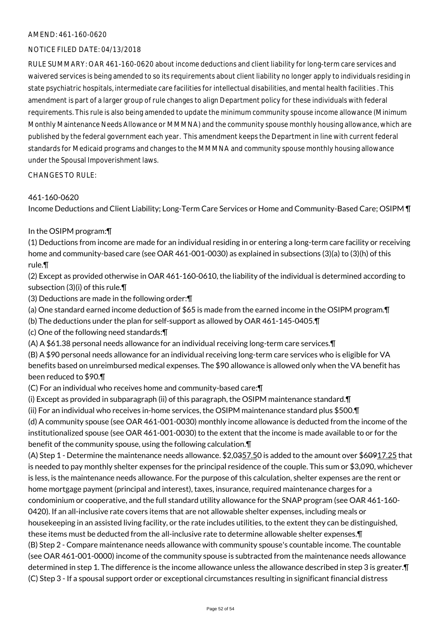## NOTICE FILED DATE: 04/13/2018

RULE SUMMARY: OAR 461-160-0620 about income deductions and client liability for long-term care services and waivered services is being amended to so its requirements about client liability no longer apply to individuals residing in state psychiatric hospitals, intermediate care facilities for intellectual disabilities, and mental health facilities . This amendment is part of a larger group of rule changes to align Department policy for these individuals with federal requirements. This rule is also being amended to update the minimum community spouse income allowance (Minimum Monthly Maintenance Needs Allowance or MMMNA) and the community spouse monthly housing allowance, which are published by the federal government each year. This amendment keeps the Department in line with current federal standards for Medicaid programs and changes to the MMMNA and community spouse monthly housing allowance under the Spousal Impoverishment laws.

CHANGES TO RULE:

## 461-160-0620

Income Deductions and Client Liability; Long-Term Care Services or Home and Community-Based Care; OSIPM ¶

## In the OSIPM program:¶

(1) Deductions from income are made for an individual residing in or entering a long-term care facility or receiving home and community-based care (see OAR 461-001-0030) as explained in subsections (3)(a) to (3)(h) of this rule.¶

(2) Except as provided otherwise in OAR 461-160-0610, the liability of the individual is determined according to subsection (3)(i) of this rule.¶

(3) Deductions are made in the following order:¶

(a) One standard earned income deduction of \$65 is made from the earned income in the OSIPM program.¶

(b) The deductions under the plan for self-support as allowed by OAR 461-145-0405.¶

(c) One of the following need standards:¶

(A) A \$61.38 personal needs allowance for an individual receiving long-term care services.¶

(B) A \$90 personal needs allowance for an individual receiving long-term care services who is eligible for VA benefits based on unreimbursed medical expenses. The \$90 allowance is allowed only when the VA benefit has been reduced to \$90.¶

(C) For an individual who receives home and community-based care:¶

(i) Except as provided in subparagraph (ii) of this paragraph, the OSIPM maintenance standard.¶

(ii) For an individual who receives in-home services, the OSIPM maintenance standard plus \$500.¶ (d) A community spouse (see OAR 461-001-0030) monthly income allowance is deducted from the income of the institutionalized spouse (see OAR 461-001-0030) to the extent that the income is made available to or for the

benefit of the community spouse, using the following calculation.¶

(A) Step 1 - Determine the maintenance needs allowance. \$2,0357.50 is added to the amount over \$60917.25 that is needed to pay monthly shelter expenses for the principal residence of the couple. This sum or \$3,090, whichever is less, is the maintenance needs allowance. For the purpose of this calculation, shelter expenses are the rent or home mortgage payment (principal and interest), taxes, insurance, required maintenance charges for a condominium or cooperative, and the full standard utility allowance for the SNAP program (see OAR 461-160- 0420). If an all-inclusive rate covers items that are not allowable shelter expenses, including meals or housekeeping in an assisted living facility, or the rate includes utilities, to the extent they can be distinguished, these items must be deducted from the all-inclusive rate to determine allowable shelter expenses.¶ (B) Step 2 - Compare maintenance needs allowance with community spouse's countable income. The countable (see OAR 461-001-0000) income of the community spouse is subtracted from the maintenance needs allowance determined in step 1. The difference is the income allowance unless the allowance described in step 3 is greater.¶ (C) Step 3 - If a spousal support order or exceptional circumstances resulting in significant financial distress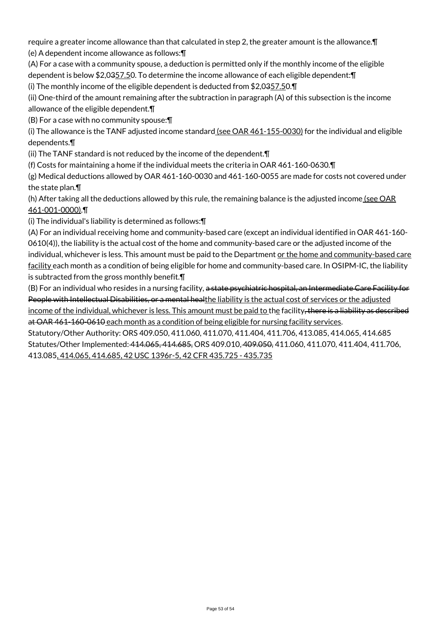require a greater income allowance than that calculated in step 2, the greater amount is the allowance.¶ (e) A dependent income allowance as follows:¶

(A) For a case with a community spouse, a deduction is permitted only if the monthly income of the eligible dependent is below \$2,0357.50. To determine the income allowance of each eligible dependent: ¶

(i) The monthly income of the eligible dependent is deducted from \$2,0357.50.¶

(ii) One-third of the amount remaining after the subtraction in paragraph (A) of this subsection is the income allowance of the eligible dependent.¶

(B) For a case with no community spouse:¶

(i) The allowance is the TANF adjusted income standard (see OAR 461-155-0030) for the individual and eligible dependents.¶

(ii) The TANF standard is not reduced by the income of the dependent.¶

(f) Costs for maintaining a home if the individual meets the criteria in OAR 461-160-0630.¶

(g) Medical deductions allowed by OAR 461-160-0030 and 461-160-0055 are made for costs not covered under the state plan.¶

(h) After taking all the deductions allowed by this rule, the remaining balance is the adjusted income (see OAR 461-001-0000).¶

(i) The individual's liability is determined as follows:¶

(A) For an individual receiving home and community-based care (except an individual identified in OAR 461-160- 0610(4)), the liability is the actual cost of the home and community-based care or the adjusted income of the individual, whichever is less. This amount must be paid to the Department or the home and community-based care facility each month as a condition of being eligible for home and community-based care. In OSIPM-IC, the liability is subtracted from the gross monthly benefit.¶

(B) For an individual who resides in a nursing facility, a state psychiatric hospital, an Intermediate Care Facility for People with Intellectual Disabilities, or a mental healthe liability is the actual cost of services or the adjusted income of the individual, whichever is less. This amount must be paid to the facility, there is a liability as described at OAR 461-160-0610 each month as a condition of being eligible for nursing facility services.

Statutory/Other Authority: ORS 409.050, 411.060, 411.070, 411.404, 411.706, 413.085, 414.065, 414.685 Statutes/Other Implemented: 414.065, 414.685, ORS 409.010, 409.050, 411.060, 411.070, 411.404, 411.706, 413.085, 414.065, 414.685, 42 USC 1396r-5, 42 CFR 435.725 - 435.735